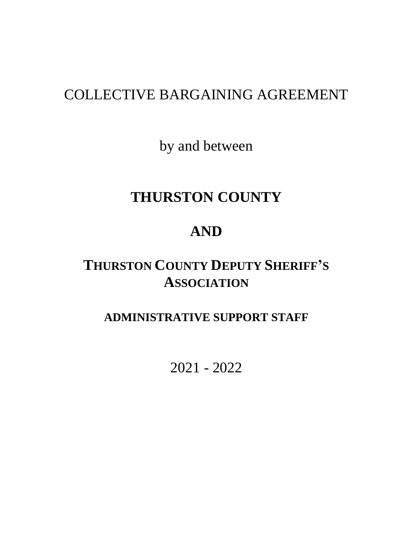# COLLECTIVE BARGAINING AGREEMENT

by and between

# **THURSTON COUNTY**

# **AND**

# **THURSTON COUNTY DEPUTY SHERIFF'S ASSOCIATION**

## **ADMINISTRATIVE SUPPORT STAFF**

2021 - 2022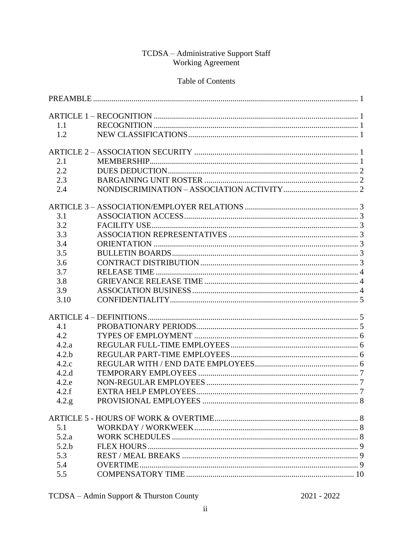#### TCDSA - Administrative Support Staff Working Agreement

#### Table of Contents

| 1.1   |  |
|-------|--|
| 1.2   |  |
|       |  |
| 2.1   |  |
| 2.2   |  |
| 2.3   |  |
| 2.4   |  |
|       |  |
| 3.1   |  |
| 3.2   |  |
| 3.3   |  |
| 3.4   |  |
| 3.5   |  |
| 3.6   |  |
| 3.7   |  |
| 3.8   |  |
| 3.9   |  |
| 3.10  |  |
|       |  |
| 4.1   |  |
| 4.2   |  |
| 4.2.a |  |
| 4.2.b |  |
| 4.2.c |  |
| 4.2.d |  |
| 4.2.e |  |
| 4.2.f |  |
| 4.2.g |  |
|       |  |
| 5.1   |  |
| 5.2.a |  |
| 5.2.b |  |
| 5.3   |  |
| 5.4   |  |
| 5.5   |  |

 $2021 - 2022$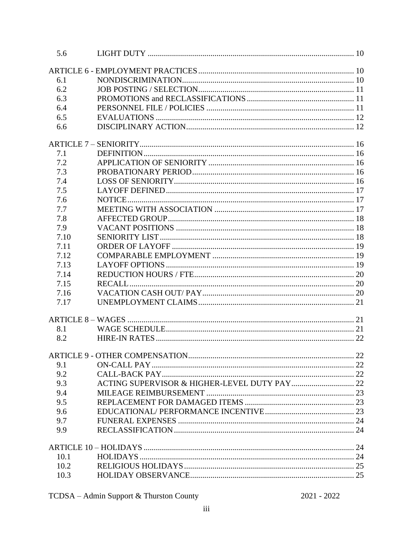| 5.6  |        |  |
|------|--------|--|
|      |        |  |
| 6.1  |        |  |
| 6.2  |        |  |
| 6.3  |        |  |
| 6.4  |        |  |
| 6.5  |        |  |
| 6.6  |        |  |
|      |        |  |
| 7.1  |        |  |
| 7.2  |        |  |
| 7.3  |        |  |
| 7.4  |        |  |
| 7.5  |        |  |
| 7.6  |        |  |
| 7.7  |        |  |
| 7.8  |        |  |
| 7.9  |        |  |
| 7.10 |        |  |
| 7.11 |        |  |
| 7.12 |        |  |
| 7.13 |        |  |
| 7.14 |        |  |
| 7.15 | RECALL |  |
| 7.16 |        |  |
| 7.17 |        |  |
|      |        |  |
| 8.1  |        |  |
| 8.2  |        |  |
|      |        |  |
| 9.1  |        |  |
| 9.2  |        |  |
| 9.3  |        |  |
| 9.4  |        |  |
| 9.5  |        |  |
| 9.6  |        |  |
| 9.7  |        |  |
| 9.9  |        |  |
|      |        |  |
| 10.1 |        |  |
| 10.2 |        |  |
| 10.3 |        |  |
|      |        |  |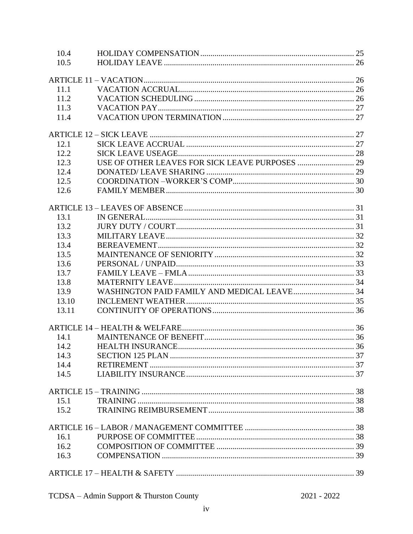| 10.4  |  |
|-------|--|
| 10.5  |  |
|       |  |
|       |  |
| 11.1  |  |
| 11.2  |  |
| 11.3  |  |
| 11.4  |  |
|       |  |
| 12.1  |  |
| 12.2  |  |
| 12.3  |  |
| 12.4  |  |
| 12.5  |  |
| 12.6  |  |
|       |  |
|       |  |
| 13.1  |  |
| 13.2  |  |
| 13.3  |  |
| 13.4  |  |
| 13.5  |  |
| 13.6  |  |
| 13.7  |  |
| 13.8  |  |
| 13.9  |  |
| 13.10 |  |
| 13.11 |  |
|       |  |
| 14.1  |  |
| 14.2  |  |
| 14.3  |  |
| 14.4  |  |
| 14.5  |  |
|       |  |
|       |  |
| 15.1  |  |
| 15.2  |  |
|       |  |
| 16.1  |  |
| 16.2  |  |
| 16.3  |  |
|       |  |
|       |  |

| TCDSA - Admin Support & Thurston County |  |  |  |
|-----------------------------------------|--|--|--|
|-----------------------------------------|--|--|--|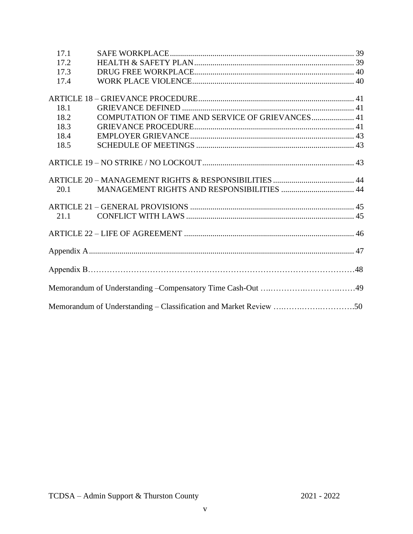| 17.1 |                                                                   |  |
|------|-------------------------------------------------------------------|--|
| 17.2 |                                                                   |  |
| 17.3 |                                                                   |  |
| 17.4 |                                                                   |  |
|      |                                                                   |  |
| 18.1 |                                                                   |  |
| 18.2 | COMPUTATION OF TIME AND SERVICE OF GRIEVANCES 41                  |  |
| 18.3 |                                                                   |  |
| 18.4 |                                                                   |  |
| 18.5 |                                                                   |  |
|      |                                                                   |  |
|      |                                                                   |  |
| 20.1 |                                                                   |  |
|      |                                                                   |  |
|      |                                                                   |  |
| 21.1 |                                                                   |  |
|      |                                                                   |  |
|      |                                                                   |  |
|      |                                                                   |  |
|      |                                                                   |  |
|      | Memorandum of Understanding - Classification and Market Review 50 |  |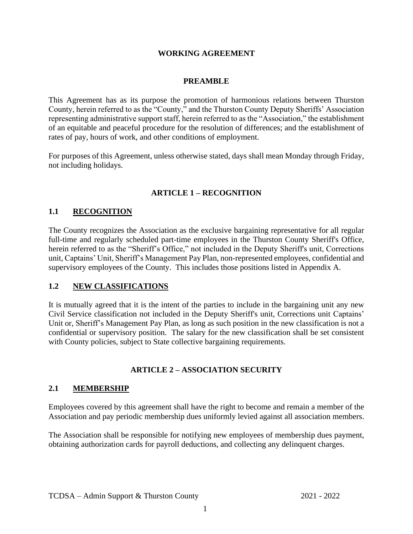#### **WORKING AGREEMENT**

#### **PREAMBLE**

<span id="page-5-0"></span>This Agreement has as its purpose the promotion of harmonious relations between Thurston County, herein referred to as the "County," and the Thurston County Deputy Sheriffs' Association representing administrative support staff, herein referred to as the "Association," the establishment of an equitable and peaceful procedure for the resolution of differences; and the establishment of rates of pay, hours of work, and other conditions of employment.

For purposes of this Agreement, unless otherwise stated, days shall mean Monday through Friday, not including holidays.

#### **ARTICLE 1 – RECOGNITION**

#### <span id="page-5-2"></span><span id="page-5-1"></span>**1.1 RECOGNITION**

The County recognizes the Association as the exclusive bargaining representative for all regular full-time and regularly scheduled part-time employees in the Thurston County Sheriff's Office, herein referred to as the "Sheriff's Office," not included in the Deputy Sheriff's unit, Corrections unit, Captains' Unit, Sheriff's Management Pay Plan, non-represented employees, confidential and supervisory employees of the County. This includes those positions listed in Appendix A.

#### <span id="page-5-3"></span>**1.2 NEW CLASSIFICATIONS**

It is mutually agreed that it is the intent of the parties to include in the bargaining unit any new Civil Service classification not included in the Deputy Sheriff's unit, Corrections unit Captains' Unit or, Sheriff's Management Pay Plan, as long as such position in the new classification is not a confidential or supervisory position. The salary for the new classification shall be set consistent with County policies, subject to State collective bargaining requirements.

#### **ARTICLE 2 – ASSOCIATION SECURITY**

#### <span id="page-5-5"></span><span id="page-5-4"></span>**2.1 MEMBERSHIP**

Employees covered by this agreement shall have the right to become and remain a member of the Association and pay periodic membership dues uniformly levied against all association members.

The Association shall be responsible for notifying new employees of membership dues payment, obtaining authorization cards for payroll deductions, and collecting any delinquent charges.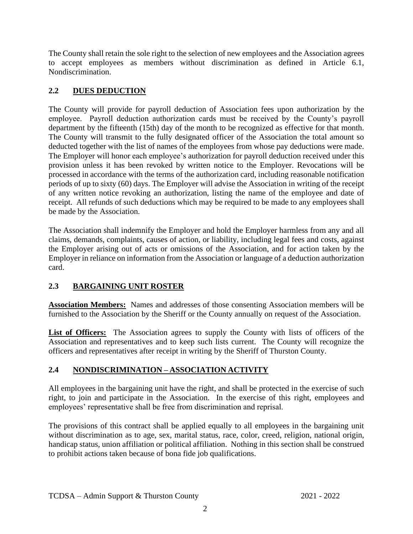The County shall retain the sole right to the selection of new employees and the Association agrees to accept employees as members without discrimination as defined in Article 6.1, Nondiscrimination.

#### <span id="page-6-0"></span>**2.2 DUES DEDUCTION**

The County will provide for payroll deduction of Association fees upon authorization by the employee. Payroll deduction authorization cards must be received by the County's payroll department by the fifteenth (15th) day of the month to be recognized as effective for that month. The County will transmit to the fully designated officer of the Association the total amount so deducted together with the list of names of the employees from whose pay deductions were made. The Employer will honor each employee's authorization for payroll deduction received under this provision unless it has been revoked by written notice to the Employer. Revocations will be processed in accordance with the terms of the authorization card, including reasonable notification periods of up to sixty (60) days. The Employer will advise the Association in writing of the receipt of any written notice revoking an authorization, listing the name of the employee and date of receipt. All refunds of such deductions which may be required to be made to any employees shall be made by the Association.

The Association shall indemnify the Employer and hold the Employer harmless from any and all claims, demands, complaints, causes of action, or liability, including legal fees and costs, against the Employer arising out of acts or omissions of the Association, and for action taken by the Employer in reliance on information from the Association or language of a deduction authorization card.

#### <span id="page-6-1"></span>**2.3 BARGAINING UNIT ROSTER**

**Association Members:** Names and addresses of those consenting Association members will be furnished to the Association by the Sheriff or the County annually on request of the Association.

List of Officers: The Association agrees to supply the County with lists of officers of the Association and representatives and to keep such lists current. The County will recognize the officers and representatives after receipt in writing by the Sheriff of Thurston County.

#### <span id="page-6-2"></span>**2.4 NONDISCRIMINATION – ASSOCIATION ACTIVITY**

All employees in the bargaining unit have the right, and shall be protected in the exercise of such right, to join and participate in the Association. In the exercise of this right, employees and employees' representative shall be free from discrimination and reprisal.

The provisions of this contract shall be applied equally to all employees in the bargaining unit without discrimination as to age, sex, marital status, race, color, creed, religion, national origin, handicap status, union affiliation or political affiliation. Nothing in this section shall be construed to prohibit actions taken because of bona fide job qualifications.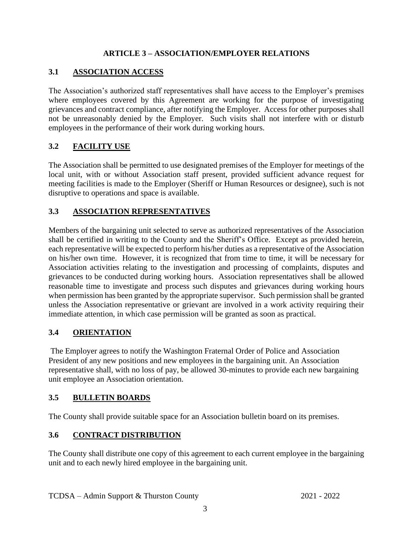#### **ARTICLE 3 – ASSOCIATION/EMPLOYER RELATIONS**

#### <span id="page-7-1"></span><span id="page-7-0"></span>**3.1 ASSOCIATION ACCESS**

The Association's authorized staff representatives shall have access to the Employer's premises where employees covered by this Agreement are working for the purpose of investigating grievances and contract compliance, after notifying the Employer. Access for other purposes shall not be unreasonably denied by the Employer. Such visits shall not interfere with or disturb employees in the performance of their work during working hours.

#### <span id="page-7-2"></span>**3.2 FACILITY USE**

The Association shall be permitted to use designated premises of the Employer for meetings of the local unit, with or without Association staff present, provided sufficient advance request for meeting facilities is made to the Employer (Sheriff or Human Resources or designee), such is not disruptive to operations and space is available.

#### <span id="page-7-3"></span>**3.3 ASSOCIATION REPRESENTATIVES**

Members of the bargaining unit selected to serve as authorized representatives of the Association shall be certified in writing to the County and the Sheriff's Office. Except as provided herein, each representative will be expected to perform his/her duties as a representative of the Association on his/her own time. However, it is recognized that from time to time, it will be necessary for Association activities relating to the investigation and processing of complaints, disputes and grievances to be conducted during working hours. Association representatives shall be allowed reasonable time to investigate and process such disputes and grievances during working hours when permission has been granted by the appropriate supervisor. Such permission shall be granted unless the Association representative or grievant are involved in a work activity requiring their immediate attention, in which case permission will be granted as soon as practical.

#### <span id="page-7-4"></span>**3.4 ORIENTATION**

The Employer agrees to notify the Washington Fraternal Order of Police and Association President of any new positions and new employees in the bargaining unit. An Association representative shall, with no loss of pay, be allowed 30-minutes to provide each new bargaining unit employee an Association orientation.

#### <span id="page-7-5"></span>**3.5 BULLETIN BOARDS**

The County shall provide suitable space for an Association bulletin board on its premises.

#### <span id="page-7-6"></span>**3.6 CONTRACT DISTRIBUTION**

The County shall distribute one copy of this agreement to each current employee in the bargaining unit and to each newly hired employee in the bargaining unit.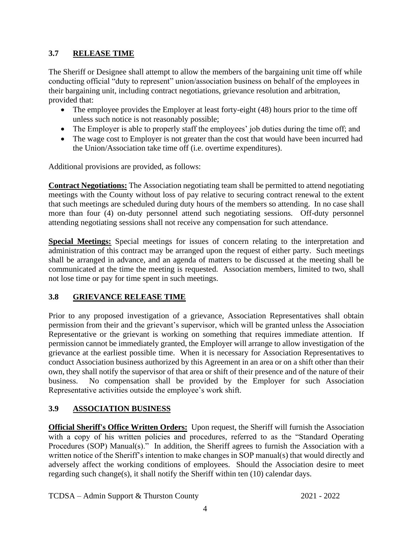#### <span id="page-8-0"></span>**3.7 RELEASE TIME**

The Sheriff or Designee shall attempt to allow the members of the bargaining unit time off while conducting official "duty to represent" union/association business on behalf of the employees in their bargaining unit, including contract negotiations, grievance resolution and arbitration, provided that:

- The employee provides the Employer at least forty-eight (48) hours prior to the time off unless such notice is not reasonably possible;
- The Employer is able to properly staff the employees' job duties during the time off; and
- The wage cost to Employer is not greater than the cost that would have been incurred had the Union/Association take time off (i.e. overtime expenditures).

Additional provisions are provided, as follows:

**Contract Negotiations:** The Association negotiating team shall be permitted to attend negotiating meetings with the County without loss of pay relative to securing contract renewal to the extent that such meetings are scheduled during duty hours of the members so attending. In no case shall more than four (4) on-duty personnel attend such negotiating sessions. Off-duty personnel attending negotiating sessions shall not receive any compensation for such attendance.

**Special Meetings:** Special meetings for issues of concern relating to the interpretation and administration of this contract may be arranged upon the request of either party. Such meetings shall be arranged in advance, and an agenda of matters to be discussed at the meeting shall be communicated at the time the meeting is requested. Association members, limited to two, shall not lose time or pay for time spent in such meetings.

#### <span id="page-8-1"></span>**3.8 GRIEVANCE RELEASE TIME**

Prior to any proposed investigation of a grievance, Association Representatives shall obtain permission from their and the grievant's supervisor, which will be granted unless the Association Representative or the grievant is working on something that requires immediate attention. If permission cannot be immediately granted, the Employer will arrange to allow investigation of the grievance at the earliest possible time. When it is necessary for Association Representatives to conduct Association business authorized by this Agreement in an area or on a shift other than their own, they shall notify the supervisor of that area or shift of their presence and of the nature of their business. No compensation shall be provided by the Employer for such Association Representative activities outside the employee's work shift.

#### <span id="page-8-2"></span>**3.9 ASSOCIATION BUSINESS**

**Official Sheriff's Office Written Orders:** Upon request, the Sheriff will furnish the Association with a copy of his written policies and procedures, referred to as the "Standard Operating Procedures (SOP) Manual(s)." In addition, the Sheriff agrees to furnish the Association with a written notice of the Sheriff's intention to make changes in SOP manual(s) that would directly and adversely affect the working conditions of employees. Should the Association desire to meet regarding such change(s), it shall notify the Sheriff within ten (10) calendar days.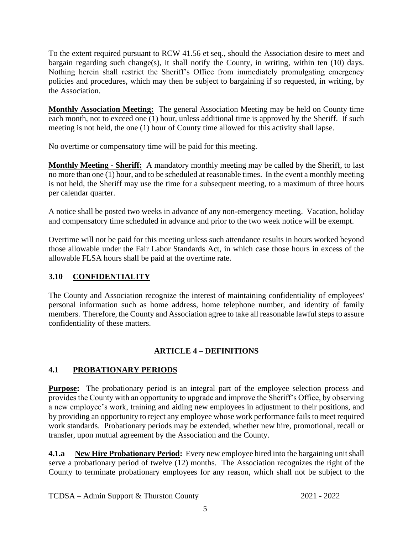To the extent required pursuant to RCW 41.56 et seq., should the Association desire to meet and bargain regarding such change(s), it shall notify the County, in writing, within ten (10) days. Nothing herein shall restrict the Sheriff's Office from immediately promulgating emergency policies and procedures, which may then be subject to bargaining if so requested, in writing, by the Association.

**Monthly Association Meeting:** The general Association Meeting may be held on County time each month, not to exceed one (1) hour, unless additional time is approved by the Sheriff. If such meeting is not held, the one (1) hour of County time allowed for this activity shall lapse.

No overtime or compensatory time will be paid for this meeting.

**Monthly Meeting - Sheriff:** A mandatory monthly meeting may be called by the Sheriff, to last no more than one (1) hour, and to be scheduled at reasonable times. In the event a monthly meeting is not held, the Sheriff may use the time for a subsequent meeting, to a maximum of three hours per calendar quarter.

A notice shall be posted two weeks in advance of any non-emergency meeting. Vacation, holiday and compensatory time scheduled in advance and prior to the two week notice will be exempt.

Overtime will not be paid for this meeting unless such attendance results in hours worked beyond those allowable under the Fair Labor Standards Act, in which case those hours in excess of the allowable FLSA hours shall be paid at the overtime rate.

#### <span id="page-9-0"></span>**3.10 CONFIDENTIALITY**

The County and Association recognize the interest of maintaining confidentiality of employees' personal information such as home address, home telephone number, and identity of family members. Therefore, the County and Association agree to take all reasonable lawful steps to assure confidentiality of these matters.

#### **ARTICLE 4 – DEFINITIONS**

#### <span id="page-9-2"></span><span id="page-9-1"></span>**4.1 PROBATIONARY PERIODS**

**Purpose:** The probationary period is an integral part of the employee selection process and provides the County with an opportunity to upgrade and improve the Sheriff's Office, by observing a new employee's work, training and aiding new employees in adjustment to their positions, and by providing an opportunity to reject any employee whose work performance fails to meet required work standards. Probationary periods may be extended, whether new hire, promotional, recall or transfer, upon mutual agreement by the Association and the County.

**4.1.a New Hire Probationary Period:** Every new employee hired into the bargaining unit shall serve a probationary period of twelve (12) months. The Association recognizes the right of the County to terminate probationary employees for any reason, which shall not be subject to the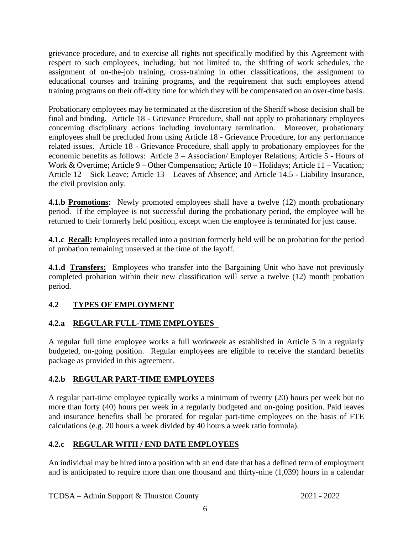grievance procedure, and to exercise all rights not specifically modified by this Agreement with respect to such employees, including, but not limited to, the shifting of work schedules, the assignment of on-the-job training, cross-training in other classifications, the assignment to educational courses and training programs, and the requirement that such employees attend training programs on their off-duty time for which they will be compensated on an over-time basis.

Probationary employees may be terminated at the discretion of the Sheriff whose decision shall be final and binding. Article 18 - Grievance Procedure, shall not apply to probationary employees concerning disciplinary actions including involuntary termination. Moreover, probationary employees shall be precluded from using Article 18 - Grievance Procedure, for any performance related issues. Article 18 - Grievance Procedure, shall apply to probationary employees for the economic benefits as follows: Article 3 – Association/ Employer Relations; Article 5 - Hours of Work & Overtime; Article 9 – Other Compensation; Article 10 – Holidays; Article 11 – Vacation; Article 12 – Sick Leave; Article 13 – Leaves of Absence; and Article 14.5 - Liability Insurance, the civil provision only.

**4.1.b Promotions:** Newly promoted employees shall have a twelve (12) month probationary period. If the employee is not successful during the probationary period, the employee will be returned to their formerly held position, except when the employee is terminated for just cause.

**4.1.c Recall:** Employees recalled into a position formerly held will be on probation for the period of probation remaining unserved at the time of the layoff.

**4.1.d Transfers:** Employees who transfer into the Bargaining Unit who have not previously completed probation within their new classification will serve a twelve (12) month probation period.

#### <span id="page-10-0"></span>**4.2 TYPES OF EMPLOYMENT**

#### <span id="page-10-1"></span>**4.2.a REGULAR FULL-TIME EMPLOYEES**

A regular full time employee works a full workweek as established in Article 5 in a regularly budgeted, on-going position. Regular employees are eligible to receive the standard benefits package as provided in this agreement.

#### <span id="page-10-2"></span>**4.2.b REGULAR PART-TIME EMPLOYEES**

A regular part-time employee typically works a minimum of twenty (20) hours per week but no more than forty (40) hours per week in a regularly budgeted and on-going position. Paid leaves and insurance benefits shall be prorated for regular part-time employees on the basis of FTE calculations (e.g. 20 hours a week divided by 40 hours a week ratio formula).

#### <span id="page-10-3"></span>**4.2.c REGULAR WITH / END DATE EMPLOYEES**

An individual may be hired into a position with an end date that has a defined term of employment and is anticipated to require more than one thousand and thirty-nine (1,039) hours in a calendar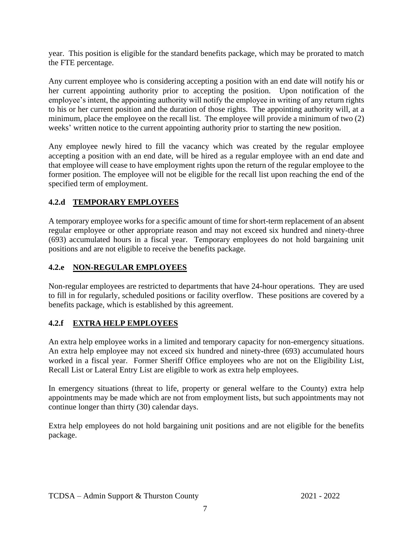year. This position is eligible for the standard benefits package, which may be prorated to match the FTE percentage.

Any current employee who is considering accepting a position with an end date will notify his or her current appointing authority prior to accepting the position. Upon notification of the employee's intent, the appointing authority will notify the employee in writing of any return rights to his or her current position and the duration of those rights. The appointing authority will, at a minimum, place the employee on the recall list. The employee will provide a minimum of two (2) weeks' written notice to the current appointing authority prior to starting the new position.

Any employee newly hired to fill the vacancy which was created by the regular employee accepting a position with an end date, will be hired as a regular employee with an end date and that employee will cease to have employment rights upon the return of the regular employee to the former position. The employee will not be eligible for the recall list upon reaching the end of the specified term of employment.

#### <span id="page-11-0"></span>**4.2.d TEMPORARY EMPLOYEES**

A temporary employee works for a specific amount of time for short-term replacement of an absent regular employee or other appropriate reason and may not exceed six hundred and ninety-three (693) accumulated hours in a fiscal year. Temporary employees do not hold bargaining unit positions and are not eligible to receive the benefits package.

#### <span id="page-11-1"></span>**4.2.e NON-REGULAR EMPLOYEES**

Non-regular employees are restricted to departments that have 24-hour operations. They are used to fill in for regularly, scheduled positions or facility overflow. These positions are covered by a benefits package, which is established by this agreement.

#### <span id="page-11-2"></span>**4.2.f EXTRA HELP EMPLOYEES**

An extra help employee works in a limited and temporary capacity for non-emergency situations. An extra help employee may not exceed six hundred and ninety-three (693) accumulated hours worked in a fiscal year. Former Sheriff Office employees who are not on the Eligibility List, Recall List or Lateral Entry List are eligible to work as extra help employees.

In emergency situations (threat to life, property or general welfare to the County) extra help appointments may be made which are not from employment lists, but such appointments may not continue longer than thirty (30) calendar days.

Extra help employees do not hold bargaining unit positions and are not eligible for the benefits package.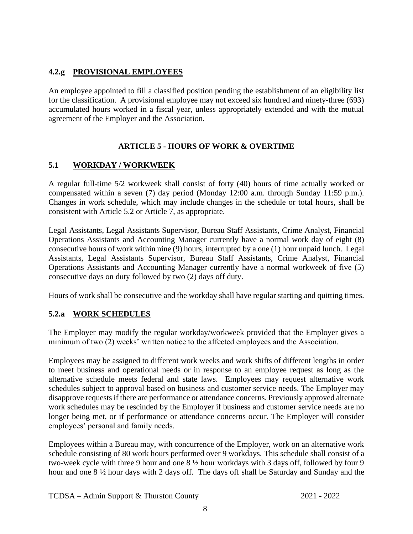#### <span id="page-12-0"></span>**4.2.g PROVISIONAL EMPLOYEES**

An employee appointed to fill a classified position pending the establishment of an eligibility list for the classification. A provisional employee may not exceed six hundred and ninety-three (693) accumulated hours worked in a fiscal year, unless appropriately extended and with the mutual agreement of the Employer and the Association.

#### **ARTICLE 5 - HOURS OF WORK & OVERTIME**

#### <span id="page-12-2"></span><span id="page-12-1"></span>**5.1 WORKDAY / WORKWEEK**

A regular full-time 5/2 workweek shall consist of forty (40) hours of time actually worked or compensated within a seven (7) day period (Monday 12:00 a.m. through Sunday 11:59 p.m.). Changes in work schedule, which may include changes in the schedule or total hours, shall be consistent with Article 5.2 or Article 7, as appropriate.

Legal Assistants, Legal Assistants Supervisor, Bureau Staff Assistants, Crime Analyst, Financial Operations Assistants and Accounting Manager currently have a normal work day of eight (8) consecutive hours of work within nine (9) hours, interrupted by a one (1) hour unpaid lunch. Legal Assistants, Legal Assistants Supervisor, Bureau Staff Assistants, Crime Analyst, Financial Operations Assistants and Accounting Manager currently have a normal workweek of five (5) consecutive days on duty followed by two (2) days off duty.

Hours of work shall be consecutive and the workday shall have regular starting and quitting times.

#### <span id="page-12-3"></span>**5.2.a WORK SCHEDULES**

The Employer may modify the regular workday/workweek provided that the Employer gives a minimum of two (2) weeks' written notice to the affected employees and the Association.

Employees may be assigned to different work weeks and work shifts of different lengths in order to meet business and operational needs or in response to an employee request as long as the alternative schedule meets federal and state laws. Employees may request alternative work schedules subject to approval based on business and customer service needs. The Employer may disapprove requests if there are performance or attendance concerns. Previously approved alternate work schedules may be rescinded by the Employer if business and customer service needs are no longer being met, or if performance or attendance concerns occur. The Employer will consider employees' personal and family needs.

Employees within a Bureau may, with concurrence of the Employer, work on an alternative work schedule consisting of 80 work hours performed over 9 workdays. This schedule shall consist of a two-week cycle with three 9 hour and one 8 ½ hour workdays with 3 days off, followed by four 9 hour and one 8 ½ hour days with 2 days off. The days off shall be Saturday and Sunday and the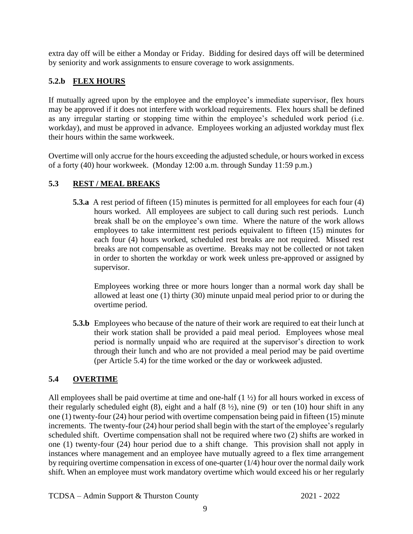extra day off will be either a Monday or Friday. Bidding for desired days off will be determined by seniority and work assignments to ensure coverage to work assignments.

#### <span id="page-13-0"></span>**5.2.b FLEX HOURS**

If mutually agreed upon by the employee and the employee's immediate supervisor, flex hours may be approved if it does not interfere with workload requirements. Flex hours shall be defined as any irregular starting or stopping time within the employee's scheduled work period (i.e. workday), and must be approved in advance. Employees working an adjusted workday must flex their hours within the same workweek.

Overtime will only accrue for the hours exceeding the adjusted schedule, or hours worked in excess of a forty (40) hour workweek. (Monday 12:00 a.m. through Sunday 11:59 p.m.)

#### <span id="page-13-1"></span>**5.3 REST / MEAL BREAKS**

**5.3.a** A rest period of fifteen (15) minutes is permitted for all employees for each four (4) hours worked. All employees are subject to call during such rest periods. Lunch break shall be on the employee's own time. Where the nature of the work allows employees to take intermittent rest periods equivalent to fifteen (15) minutes for each four (4) hours worked, scheduled rest breaks are not required. Missed rest breaks are not compensable as overtime. Breaks may not be collected or not taken in order to shorten the workday or work week unless pre-approved or assigned by supervisor.

Employees working three or more hours longer than a normal work day shall be allowed at least one (1) thirty (30) minute unpaid meal period prior to or during the overtime period.

**5.3.b** Employees who because of the nature of their work are required to eat their lunch at their work station shall be provided a paid meal period. Employees whose meal period is normally unpaid who are required at the supervisor's direction to work through their lunch and who are not provided a meal period may be paid overtime (per Article 5.4) for the time worked or the day or workweek adjusted.

#### <span id="page-13-2"></span>**5.4 OVERTIME**

All employees shall be paid overtime at time and one-half  $(1 \frac{1}{2})$  for all hours worked in excess of their regularly scheduled eight  $(8)$ , eight and a half  $(8 \frac{1}{2})$ , nine  $(9)$  or ten  $(10)$  hour shift in any one (1) twenty-four (24) hour period with overtime compensation being paid in fifteen (15) minute increments. The twenty-four (24) hour period shall begin with the start of the employee's regularly scheduled shift. Overtime compensation shall not be required where two (2) shifts are worked in one (1) twenty-four (24) hour period due to a shift change. This provision shall not apply in instances where management and an employee have mutually agreed to a flex time arrangement by requiring overtime compensation in excess of one-quarter (1/4) hour over the normal daily work shift. When an employee must work mandatory overtime which would exceed his or her regularly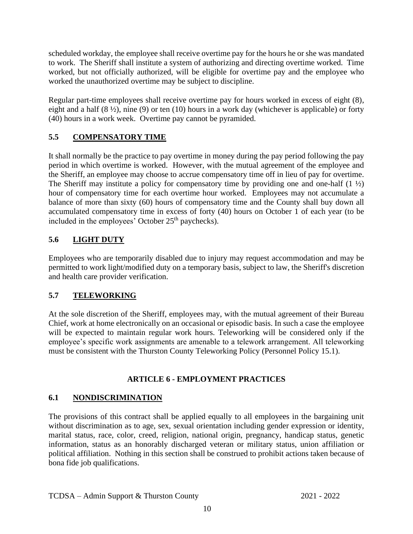scheduled workday, the employee shall receive overtime pay for the hours he or she was mandated to work. The Sheriff shall institute a system of authorizing and directing overtime worked. Time worked, but not officially authorized, will be eligible for overtime pay and the employee who worked the unauthorized overtime may be subject to discipline.

Regular part-time employees shall receive overtime pay for hours worked in excess of eight (8), eight and a half  $(8 \frac{1}{2})$ , nine  $(9)$  or ten  $(10)$  hours in a work day (whichever is applicable) or forty (40) hours in a work week. Overtime pay cannot be pyramided.

#### <span id="page-14-0"></span>**5.5 COMPENSATORY TIME**

It shall normally be the practice to pay overtime in money during the pay period following the pay period in which overtime is worked. However, with the mutual agreement of the employee and the Sheriff, an employee may choose to accrue compensatory time off in lieu of pay for overtime. The Sheriff may institute a policy for compensatory time by providing one and one-half  $(1 \frac{1}{2})$ hour of compensatory time for each overtime hour worked. Employees may not accumulate a balance of more than sixty (60) hours of compensatory time and the County shall buy down all accumulated compensatory time in excess of forty (40) hours on October 1 of each year (to be included in the employees' October 25<sup>th</sup> paychecks).

#### <span id="page-14-1"></span>**5.6 LIGHT DUTY**

Employees who are temporarily disabled due to injury may request accommodation and may be permitted to work light/modified duty on a temporary basis, subject to law, the Sheriff's discretion and health care provider verification.

#### **5.7 TELEWORKING**

At the sole discretion of the Sheriff, employees may, with the mutual agreement of their Bureau Chief, work at home electronically on an occasional or episodic basis. In such a case the employee will be expected to maintain regular work hours. Teleworking will be considered only if the employee's specific work assignments are amenable to a telework arrangement. All teleworking must be consistent with the Thurston County Teleworking Policy (Personnel Policy 15.1).

#### **ARTICLE 6 - EMPLOYMENT PRACTICES**

#### <span id="page-14-3"></span><span id="page-14-2"></span>**6.1 NONDISCRIMINATION**

The provisions of this contract shall be applied equally to all employees in the bargaining unit without discrimination as to age, sex, sexual orientation including gender expression or identity, marital status, race, color, creed, religion, national origin, pregnancy, handicap status, genetic information, status as an honorably discharged veteran or military status, union affiliation or political affiliation. Nothing in this section shall be construed to prohibit actions taken because of bona fide job qualifications.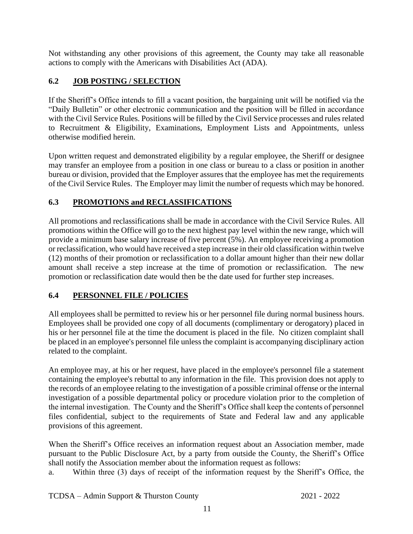Not withstanding any other provisions of this agreement, the County may take all reasonable actions to comply with the Americans with Disabilities Act (ADA).

#### <span id="page-15-0"></span>**6.2 JOB POSTING / SELECTION**

If the Sheriff's Office intends to fill a vacant position, the bargaining unit will be notified via the "Daily Bulletin" or other electronic communication and the position will be filled in accordance with the Civil Service Rules. Positions will be filled by the Civil Service processes and rules related to Recruitment & Eligibility, Examinations, Employment Lists and Appointments, unless otherwise modified herein.

Upon written request and demonstrated eligibility by a regular employee, the Sheriff or designee may transfer an employee from a position in one class or bureau to a class or position in another bureau or division, provided that the Employer assures that the employee has met the requirements of the Civil Service Rules. The Employer may limit the number of requests which may be honored.

#### <span id="page-15-1"></span>**6.3 PROMOTIONS and RECLASSIFICATIONS**

All promotions and reclassifications shall be made in accordance with the Civil Service Rules. All promotions within the Office will go to the next highest pay level within the new range, which will provide a minimum base salary increase of five percent (5%). An employee receiving a promotion or reclassification, who would have received a step increase in their old classification within twelve (12) months of their promotion or reclassification to a dollar amount higher than their new dollar amount shall receive a step increase at the time of promotion or reclassification. The new promotion or reclassification date would then be the date used for further step increases.

#### <span id="page-15-2"></span>**6.4 PERSONNEL FILE / POLICIES**

All employees shall be permitted to review his or her personnel file during normal business hours. Employees shall be provided one copy of all documents (complimentary or derogatory) placed in his or her personnel file at the time the document is placed in the file. No citizen complaint shall be placed in an employee's personnel file unless the complaint is accompanying disciplinary action related to the complaint.

An employee may, at his or her request, have placed in the employee's personnel file a statement containing the employee's rebuttal to any information in the file. This provision does not apply to the records of an employee relating to the investigation of a possible criminal offense or the internal investigation of a possible departmental policy or procedure violation prior to the completion of the internal investigation. The County and the Sheriff's Office shall keep the contents of personnel files confidential, subject to the requirements of State and Federal law and any applicable provisions of this agreement.

When the Sheriff's Office receives an information request about an Association member, made pursuant to the Public Disclosure Act, by a party from outside the County, the Sheriff's Office shall notify the Association member about the information request as follows:

a. Within three (3) days of receipt of the information request by the Sheriff's Office, the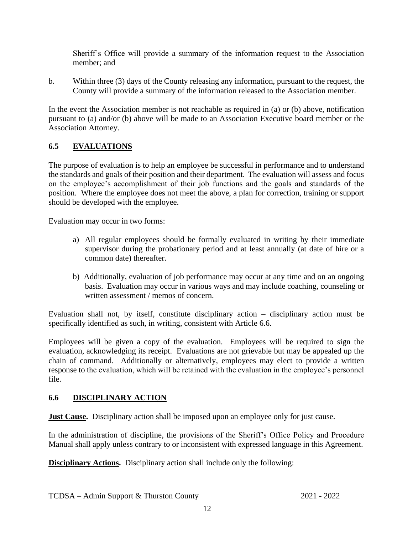Sheriff's Office will provide a summary of the information request to the Association member; and

b. Within three (3) days of the County releasing any information, pursuant to the request, the County will provide a summary of the information released to the Association member.

In the event the Association member is not reachable as required in (a) or (b) above, notification pursuant to (a) and/or (b) above will be made to an Association Executive board member or the Association Attorney.

#### <span id="page-16-0"></span>**6.5 EVALUATIONS**

The purpose of evaluation is to help an employee be successful in performance and to understand the standards and goals of their position and their department. The evaluation will assess and focus on the employee's accomplishment of their job functions and the goals and standards of the position. Where the employee does not meet the above, a plan for correction, training or support should be developed with the employee.

Evaluation may occur in two forms:

- a) All regular employees should be formally evaluated in writing by their immediate supervisor during the probationary period and at least annually (at date of hire or a common date) thereafter.
- b) Additionally, evaluation of job performance may occur at any time and on an ongoing basis. Evaluation may occur in various ways and may include coaching, counseling or written assessment / memos of concern.

Evaluation shall not, by itself, constitute disciplinary action – disciplinary action must be specifically identified as such, in writing, consistent with Article 6.6.

Employees will be given a copy of the evaluation. Employees will be required to sign the evaluation, acknowledging its receipt. Evaluations are not grievable but may be appealed up the chain of command. Additionally or alternatively, employees may elect to provide a written response to the evaluation, which will be retained with the evaluation in the employee's personnel file.

#### <span id="page-16-1"></span>**6.6 DISCIPLINARY ACTION**

**Just Cause.** Disciplinary action shall be imposed upon an employee only for just cause.

In the administration of discipline, the provisions of the Sheriff's Office Policy and Procedure Manual shall apply unless contrary to or inconsistent with expressed language in this Agreement.

**Disciplinary Actions.** Disciplinary action shall include only the following: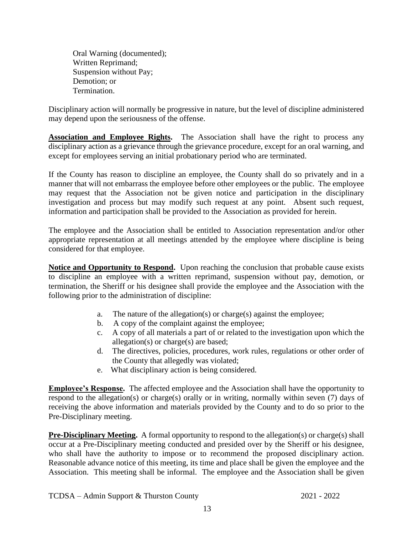Oral Warning (documented); Written Reprimand; Suspension without Pay; Demotion; or Termination.

Disciplinary action will normally be progressive in nature, but the level of discipline administered may depend upon the seriousness of the offense.

**Association and Employee Rights.** The Association shall have the right to process any disciplinary action as a grievance through the grievance procedure, except for an oral warning, and except for employees serving an initial probationary period who are terminated.

If the County has reason to discipline an employee, the County shall do so privately and in a manner that will not embarrass the employee before other employees or the public. The employee may request that the Association not be given notice and participation in the disciplinary investigation and process but may modify such request at any point. Absent such request, information and participation shall be provided to the Association as provided for herein.

The employee and the Association shall be entitled to Association representation and/or other appropriate representation at all meetings attended by the employee where discipline is being considered for that employee.

**Notice and Opportunity to Respond.** Upon reaching the conclusion that probable cause exists to discipline an employee with a written reprimand, suspension without pay, demotion, or termination, the Sheriff or his designee shall provide the employee and the Association with the following prior to the administration of discipline:

- a. The nature of the allegation(s) or charge(s) against the employee;
- b. A copy of the complaint against the employee;
- c. A copy of all materials a part of or related to the investigation upon which the allegation(s) or charge(s) are based;
- d. The directives, policies, procedures, work rules, regulations or other order of the County that allegedly was violated;
- e. What disciplinary action is being considered.

**Employee's Response.** The affected employee and the Association shall have the opportunity to respond to the allegation(s) or charge(s) orally or in writing, normally within seven (7) days of receiving the above information and materials provided by the County and to do so prior to the Pre-Disciplinary meeting.

**Pre-Disciplinary Meeting.** A formal opportunity to respond to the allegation(s) or charge(s) shall occur at a Pre-Disciplinary meeting conducted and presided over by the Sheriff or his designee, who shall have the authority to impose or to recommend the proposed disciplinary action. Reasonable advance notice of this meeting, its time and place shall be given the employee and the Association. This meeting shall be informal. The employee and the Association shall be given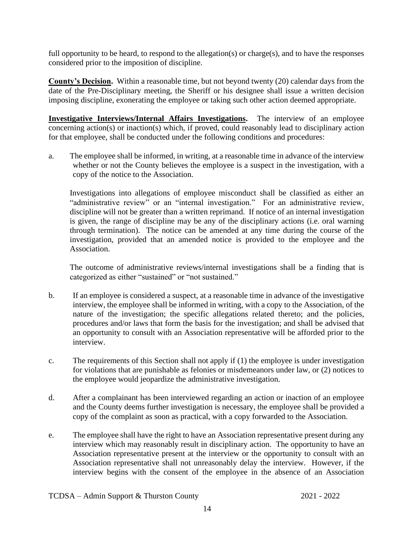full opportunity to be heard, to respond to the allegation(s) or charge(s), and to have the responses considered prior to the imposition of discipline.

**County's Decision.** Within a reasonable time, but not beyond twenty (20) calendar days from the date of the Pre-Disciplinary meeting, the Sheriff or his designee shall issue a written decision imposing discipline, exonerating the employee or taking such other action deemed appropriate.

**Investigative Interviews/Internal Affairs Investigations.** The interview of an employee concerning action(s) or inaction(s) which, if proved, could reasonably lead to disciplinary action for that employee, shall be conducted under the following conditions and procedures:

a. The employee shall be informed, in writing, at a reasonable time in advance of the interview whether or not the County believes the employee is a suspect in the investigation, with a copy of the notice to the Association.

Investigations into allegations of employee misconduct shall be classified as either an "administrative review" or an "internal investigation." For an administrative review, discipline will not be greater than a written reprimand. If notice of an internal investigation is given, the range of discipline may be any of the disciplinary actions (i.e. oral warning through termination). The notice can be amended at any time during the course of the investigation, provided that an amended notice is provided to the employee and the Association.

The outcome of administrative reviews/internal investigations shall be a finding that is categorized as either "sustained" or "not sustained."

- b. If an employee is considered a suspect, at a reasonable time in advance of the investigative interview, the employee shall be informed in writing, with a copy to the Association, of the nature of the investigation; the specific allegations related thereto; and the policies, procedures and/or laws that form the basis for the investigation; and shall be advised that an opportunity to consult with an Association representative will be afforded prior to the interview.
- c. The requirements of this Section shall not apply if (1) the employee is under investigation for violations that are punishable as felonies or misdemeanors under law, or (2) notices to the employee would jeopardize the administrative investigation.
- d. After a complainant has been interviewed regarding an action or inaction of an employee and the County deems further investigation is necessary, the employee shall be provided a copy of the complaint as soon as practical, with a copy forwarded to the Association.
- e. The employee shall have the right to have an Association representative present during any interview which may reasonably result in disciplinary action. The opportunity to have an Association representative present at the interview or the opportunity to consult with an Association representative shall not unreasonably delay the interview. However, if the interview begins with the consent of the employee in the absence of an Association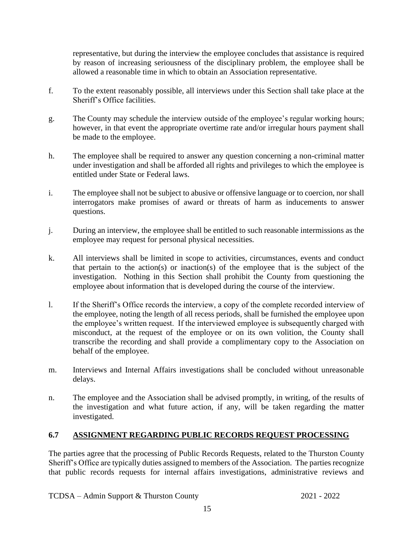representative, but during the interview the employee concludes that assistance is required by reason of increasing seriousness of the disciplinary problem, the employee shall be allowed a reasonable time in which to obtain an Association representative.

- f. To the extent reasonably possible, all interviews under this Section shall take place at the Sheriff's Office facilities.
- g. The County may schedule the interview outside of the employee's regular working hours; however, in that event the appropriate overtime rate and/or irregular hours payment shall be made to the employee.
- h. The employee shall be required to answer any question concerning a non-criminal matter under investigation and shall be afforded all rights and privileges to which the employee is entitled under State or Federal laws.
- i. The employee shall not be subject to abusive or offensive language or to coercion, nor shall interrogators make promises of award or threats of harm as inducements to answer questions.
- j. During an interview, the employee shall be entitled to such reasonable intermissions as the employee may request for personal physical necessities.
- k. All interviews shall be limited in scope to activities, circumstances, events and conduct that pertain to the action(s) or inaction(s) of the employee that is the subject of the investigation. Nothing in this Section shall prohibit the County from questioning the employee about information that is developed during the course of the interview.
- l. If the Sheriff's Office records the interview, a copy of the complete recorded interview of the employee, noting the length of all recess periods, shall be furnished the employee upon the employee's written request. If the interviewed employee is subsequently charged with misconduct, at the request of the employee or on its own volition, the County shall transcribe the recording and shall provide a complimentary copy to the Association on behalf of the employee.
- m. Interviews and Internal Affairs investigations shall be concluded without unreasonable delays.
- n. The employee and the Association shall be advised promptly, in writing, of the results of the investigation and what future action, if any, will be taken regarding the matter investigated.

#### **6.7 ASSIGNMENT REGARDING PUBLIC RECORDS REQUEST PROCESSING**

The parties agree that the processing of Public Records Requests, related to the Thurston County Sheriff's Office are typically duties assigned to members of the Association. The parties recognize that public records requests for internal affairs investigations, administrative reviews and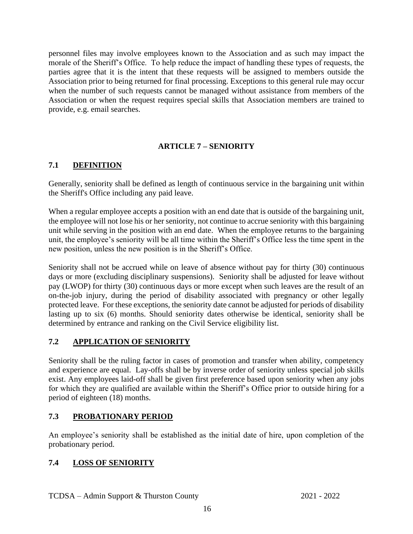personnel files may involve employees known to the Association and as such may impact the morale of the Sheriff's Office. To help reduce the impact of handling these types of requests, the parties agree that it is the intent that these requests will be assigned to members outside the Association prior to being returned for final processing. Exceptions to this general rule may occur when the number of such requests cannot be managed without assistance from members of the Association or when the request requires special skills that Association members are trained to provide, e.g. email searches.

#### **ARTICLE 7 – SENIORITY**

#### <span id="page-20-1"></span><span id="page-20-0"></span>**7.1 DEFINITION**

Generally, seniority shall be defined as length of continuous service in the bargaining unit within the Sheriff's Office including any paid leave.

When a regular employee accepts a position with an end date that is outside of the bargaining unit, the employee will not lose his or her seniority, not continue to accrue seniority with this bargaining unit while serving in the position with an end date. When the employee returns to the bargaining unit, the employee's seniority will be all time within the Sheriff's Office less the time spent in the new position, unless the new position is in the Sheriff's Office.

Seniority shall not be accrued while on leave of absence without pay for thirty (30) continuous days or more (excluding disciplinary suspensions). Seniority shall be adjusted for leave without pay (LWOP) for thirty (30) continuous days or more except when such leaves are the result of an on-the-job injury, during the period of disability associated with pregnancy or other legally protected leave. For these exceptions, the seniority date cannot be adjusted for periods of disability lasting up to six (6) months. Should seniority dates otherwise be identical, seniority shall be determined by entrance and ranking on the Civil Service eligibility list.

#### <span id="page-20-2"></span>**7.2 APPLICATION OF SENIORITY**

Seniority shall be the ruling factor in cases of promotion and transfer when ability, competency and experience are equal. Lay-offs shall be by inverse order of seniority unless special job skills exist. Any employees laid-off shall be given first preference based upon seniority when any jobs for which they are qualified are available within the Sheriff's Office prior to outside hiring for a period of eighteen (18) months.

#### <span id="page-20-3"></span>**7.3 PROBATIONARY PERIOD**

An employee's seniority shall be established as the initial date of hire, upon completion of the probationary period.

#### <span id="page-20-4"></span>**7.4 LOSS OF SENIORITY**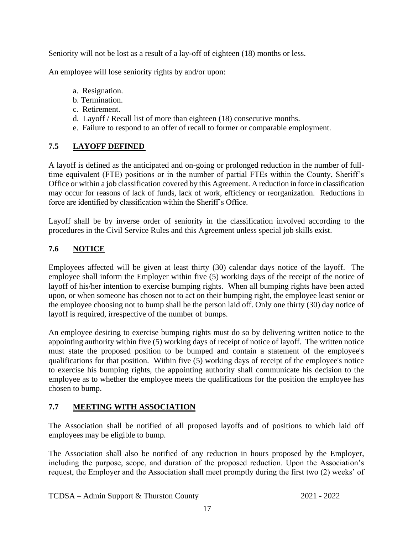Seniority will not be lost as a result of a lay-off of eighteen (18) months or less.

An employee will lose seniority rights by and/or upon:

- a. Resignation.
- b. Termination.
- c. Retirement.
- d. Layoff / Recall list of more than eighteen (18) consecutive months.
- e. Failure to respond to an offer of recall to former or comparable employment.

#### <span id="page-21-0"></span>**7.5 LAYOFF DEFINED**

A layoff is defined as the anticipated and on-going or prolonged reduction in the number of fulltime equivalent (FTE) positions or in the number of partial FTEs within the County, Sheriff's Office or within a job classification covered by this Agreement. A reduction in force in classification may occur for reasons of lack of funds, lack of work, efficiency or reorganization. Reductions in force are identified by classification within the Sheriff's Office.

Layoff shall be by inverse order of seniority in the classification involved according to the procedures in the Civil Service Rules and this Agreement unless special job skills exist.

#### <span id="page-21-1"></span>**7.6 NOTICE**

Employees affected will be given at least thirty (30) calendar days notice of the layoff. The employee shall inform the Employer within five (5) working days of the receipt of the notice of layoff of his/her intention to exercise bumping rights. When all bumping rights have been acted upon, or when someone has chosen not to act on their bumping right, the employee least senior or the employee choosing not to bump shall be the person laid off. Only one thirty (30) day notice of layoff is required, irrespective of the number of bumps.

An employee desiring to exercise bumping rights must do so by delivering written notice to the appointing authority within five (5) working days of receipt of notice of layoff. The written notice must state the proposed position to be bumped and contain a statement of the employee's qualifications for that position. Within five (5) working days of receipt of the employee's notice to exercise his bumping rights, the appointing authority shall communicate his decision to the employee as to whether the employee meets the qualifications for the position the employee has chosen to bump.

#### <span id="page-21-2"></span>**7.7 MEETING WITH ASSOCIATION**

The Association shall be notified of all proposed layoffs and of positions to which laid off employees may be eligible to bump.

The Association shall also be notified of any reduction in hours proposed by the Employer, including the purpose, scope, and duration of the proposed reduction. Upon the Association's request, the Employer and the Association shall meet promptly during the first two (2) weeks' of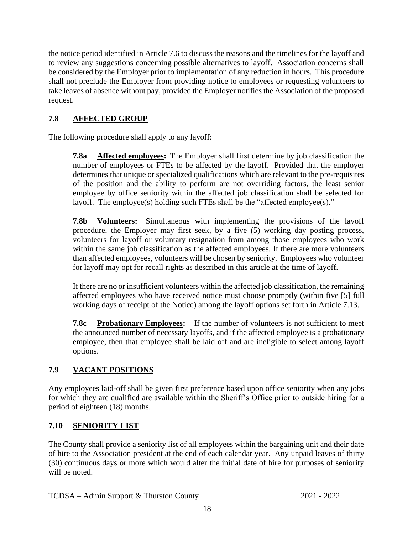the notice period identified in Article 7.6 to discuss the reasons and the timelines for the layoff and to review any suggestions concerning possible alternatives to layoff. Association concerns shall be considered by the Employer prior to implementation of any reduction in hours. This procedure shall not preclude the Employer from providing notice to employees or requesting volunteers to take leaves of absence without pay, provided the Employer notifies the Association of the proposed request.

#### <span id="page-22-0"></span>**7.8 AFFECTED GROUP**

The following procedure shall apply to any layoff:

**7.8a Affected employees:** The Employer shall first determine by job classification the number of employees or FTEs to be affected by the layoff. Provided that the employer determines that unique or specialized qualifications which are relevant to the pre-requisites of the position and the ability to perform are not overriding factors, the least senior employee by office seniority within the affected job classification shall be selected for layoff. The employee(s) holding such FTEs shall be the "affected employee(s)."

**7.8b Volunteers:** Simultaneous with implementing the provisions of the layoff procedure, the Employer may first seek, by a five (5) working day posting process, volunteers for layoff or voluntary resignation from among those employees who work within the same job classification as the affected employees. If there are more volunteers than affected employees, volunteers will be chosen by seniority. Employees who volunteer for layoff may opt for recall rights as described in this article at the time of layoff.

If there are no or insufficient volunteers within the affected job classification, the remaining affected employees who have received notice must choose promptly (within five [5] full working days of receipt of the Notice) among the layoff options set forth in Article 7.13.

**7.8c Probationary Employees:** If the number of volunteers is not sufficient to meet the announced number of necessary layoffs, and if the affected employee is a probationary employee, then that employee shall be laid off and are ineligible to select among layoff options.

#### <span id="page-22-1"></span>**7.9 VACANT POSITIONS**

Any employees laid-off shall be given first preference based upon office seniority when any jobs for which they are qualified are available within the Sheriff's Office prior to outside hiring for a period of eighteen (18) months.

#### <span id="page-22-2"></span>**7.10 SENIORITY LIST**

The County shall provide a seniority list of all employees within the bargaining unit and their date of hire to the Association president at the end of each calendar year. Any unpaid leaves of thirty (30) continuous days or more which would alter the initial date of hire for purposes of seniority will be noted.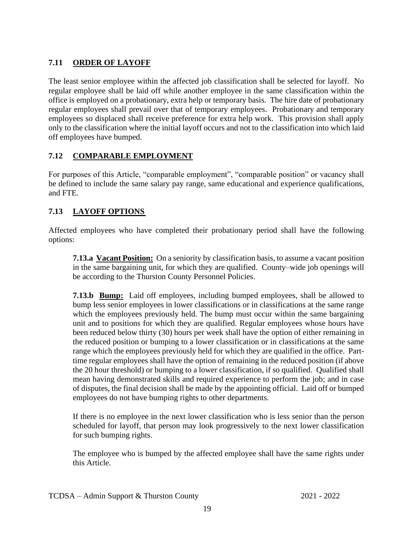#### <span id="page-23-0"></span>**7.11 ORDER OF LAYOFF**

The least senior employee within the affected job classification shall be selected for layoff. No regular employee shall be laid off while another employee in the same classification within the office is employed on a probationary, extra help or temporary basis. The hire date of probationary regular employees shall prevail over that of temporary employees. Probationary and temporary employees so displaced shall receive preference for extra help work. This provision shall apply only to the classification where the initial layoff occurs and not to the classification into which laid off employees have bumped.

#### <span id="page-23-1"></span>**7.12 COMPARABLE EMPLOYMENT**

For purposes of this Article, "comparable employment", "comparable position" or vacancy shall be defined to include the same salary pay range, same educational and experience qualifications, and FTE.

#### <span id="page-23-2"></span>**7.13 LAYOFF OPTIONS**

Affected employees who have completed their probationary period shall have the following options:

**7.13.a Vacant Position:** On a seniority by classification basis, to assume a vacant position in the same bargaining unit, for which they are qualified. County–wide job openings will be according to the Thurston County Personnel Policies.

**7.13.b Bump:** Laid off employees, including bumped employees, shall be allowed to bump less senior employees in lower classifications or in classifications at the same range which the employees previously held. The bump must occur within the same bargaining unit and to positions for which they are qualified. Regular employees whose hours have been reduced below thirty (30) hours per week shall have the option of either remaining in the reduced position or bumping to a lower classification or in classifications at the same range which the employees previously held for which they are qualified in the office. Parttime regular employees shall have the option of remaining in the reduced position (if above the 20 hour threshold) or bumping to a lower classification, if so qualified. Qualified shall mean having demonstrated skills and required experience to perform the job; and in case of disputes, the final decision shall be made by the appointing official. Laid off or bumped employees do not have bumping rights to other departments.

If there is no employee in the next lower classification who is less senior than the person scheduled for layoff, that person may look progressively to the next lower classification for such bumping rights.

The employee who is bumped by the affected employee shall have the same rights under this Article.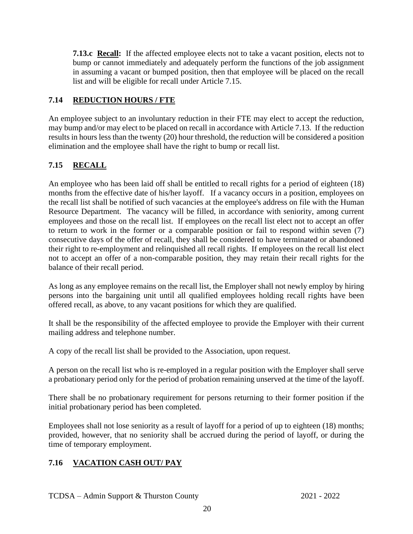**7.13.c Recall:** If the affected employee elects not to take a vacant position, elects not to bump or cannot immediately and adequately perform the functions of the job assignment in assuming a vacant or bumped position, then that employee will be placed on the recall list and will be eligible for recall under Article 7.15.

#### <span id="page-24-0"></span>**7.14 REDUCTION HOURS / FTE**

An employee subject to an involuntary reduction in their FTE may elect to accept the reduction, may bump and/or may elect to be placed on recall in accordance with Article 7.13. If the reduction results in hours less than the twenty (20) hour threshold, the reduction will be considered a position elimination and the employee shall have the right to bump or recall list.

#### <span id="page-24-1"></span>**7.15 RECALL**

An employee who has been laid off shall be entitled to recall rights for a period of eighteen (18) months from the effective date of his/her layoff. If a vacancy occurs in a position, employees on the recall list shall be notified of such vacancies at the employee's address on file with the Human Resource Department. The vacancy will be filled, in accordance with seniority, among current employees and those on the recall list. If employees on the recall list elect not to accept an offer to return to work in the former or a comparable position or fail to respond within seven (7) consecutive days of the offer of recall, they shall be considered to have terminated or abandoned their right to re-employment and relinquished all recall rights. If employees on the recall list elect not to accept an offer of a non-comparable position, they may retain their recall rights for the balance of their recall period.

As long as any employee remains on the recall list, the Employer shall not newly employ by hiring persons into the bargaining unit until all qualified employees holding recall rights have been offered recall, as above, to any vacant positions for which they are qualified.

It shall be the responsibility of the affected employee to provide the Employer with their current mailing address and telephone number.

A copy of the recall list shall be provided to the Association, upon request.

A person on the recall list who is re-employed in a regular position with the Employer shall serve a probationary period only for the period of probation remaining unserved at the time of the layoff.

There shall be no probationary requirement for persons returning to their former position if the initial probationary period has been completed.

Employees shall not lose seniority as a result of layoff for a period of up to eighteen (18) months; provided, however, that no seniority shall be accrued during the period of layoff, or during the time of temporary employment.

#### <span id="page-24-2"></span>**7.16 VACATION CASH OUT/ PAY**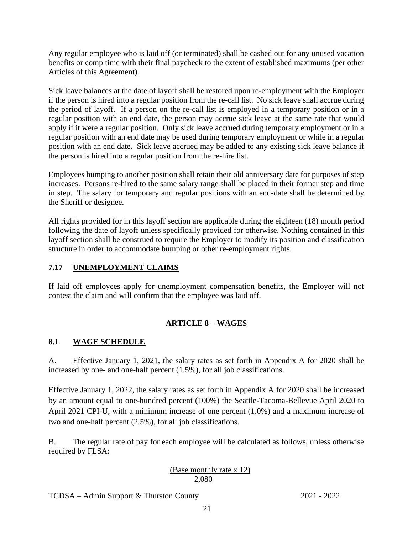Any regular employee who is laid off (or terminated) shall be cashed out for any unused vacation benefits or comp time with their final paycheck to the extent of established maximums (per other Articles of this Agreement).

Sick leave balances at the date of layoff shall be restored upon re-employment with the Employer if the person is hired into a regular position from the re-call list. No sick leave shall accrue during the period of layoff. If a person on the re-call list is employed in a temporary position or in a regular position with an end date, the person may accrue sick leave at the same rate that would apply if it were a regular position. Only sick leave accrued during temporary employment or in a regular position with an end date may be used during temporary employment or while in a regular position with an end date. Sick leave accrued may be added to any existing sick leave balance if the person is hired into a regular position from the re-hire list.

Employees bumping to another position shall retain their old anniversary date for purposes of step increases. Persons re-hired to the same salary range shall be placed in their former step and time in step. The salary for temporary and regular positions with an end-date shall be determined by the Sheriff or designee.

All rights provided for in this layoff section are applicable during the eighteen (18) month period following the date of layoff unless specifically provided for otherwise. Nothing contained in this layoff section shall be construed to require the Employer to modify its position and classification structure in order to accommodate bumping or other re-employment rights.

#### <span id="page-25-0"></span>**7.17 UNEMPLOYMENT CLAIMS**

If laid off employees apply for unemployment compensation benefits, the Employer will not contest the claim and will confirm that the employee was laid off.

#### **ARTICLE 8 – WAGES**

#### <span id="page-25-2"></span><span id="page-25-1"></span>**8.1 WAGE SCHEDULE**

A. Effective January 1, 2021, the salary rates as set forth in Appendix A for 2020 shall be increased by one- and one-half percent (1.5%), for all job classifications.

Effective January 1, 2022, the salary rates as set forth in Appendix A for 2020 shall be increased by an amount equal to one-hundred percent (100%) the Seattle-Tacoma-Bellevue April 2020 to April 2021 CPI-U, with a minimum increase of one percent (1.0%) and a maximum increase of two and one-half percent (2.5%), for all job classifications.

B. The regular rate of pay for each employee will be calculated as follows, unless otherwise required by FLSA:

#### (Base monthly rate x 12) 2,080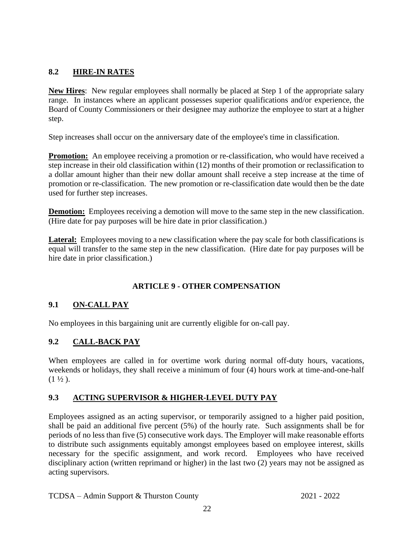#### <span id="page-26-0"></span>**8.2 HIRE-IN RATES**

**New Hires**: New regular employees shall normally be placed at Step 1 of the appropriate salary range. In instances where an applicant possesses superior qualifications and/or experience, the Board of County Commissioners or their designee may authorize the employee to start at a higher step.

Step increases shall occur on the anniversary date of the employee's time in classification.

**Promotion:** An employee receiving a promotion or re-classification, who would have received a step increase in their old classification within (12) months of their promotion or reclassification to a dollar amount higher than their new dollar amount shall receive a step increase at the time of promotion or re-classification. The new promotion or re-classification date would then be the date used for further step increases.

**Demotion:** Employees receiving a demotion will move to the same step in the new classification. (Hire date for pay purposes will be hire date in prior classification.)

**Lateral:** Employees moving to a new classification where the pay scale for both classifications is equal will transfer to the same step in the new classification. (Hire date for pay purposes will be hire date in prior classification.)

#### **ARTICLE 9 - OTHER COMPENSATION**

#### <span id="page-26-2"></span><span id="page-26-1"></span>**9.1 ON-CALL PAY**

No employees in this bargaining unit are currently eligible for on-call pay.

#### <span id="page-26-3"></span>**9.2 CALL-BACK PAY**

When employees are called in for overtime work during normal off-duty hours, vacations, weekends or holidays, they shall receive a minimum of four (4) hours work at time-and-one-half  $(1 \frac{1}{2})$ .

#### <span id="page-26-4"></span>**9.3 ACTING SUPERVISOR & HIGHER-LEVEL DUTY PAY**

Employees assigned as an acting supervisor, or temporarily assigned to a higher paid position, shall be paid an additional five percent (5%) of the hourly rate. Such assignments shall be for periods of no less than five (5) consecutive work days. The Employer will make reasonable efforts to distribute such assignments equitably amongst employees based on employee interest, skills necessary for the specific assignment, and work record. Employees who have received disciplinary action (written reprimand or higher) in the last two (2) years may not be assigned as acting supervisors.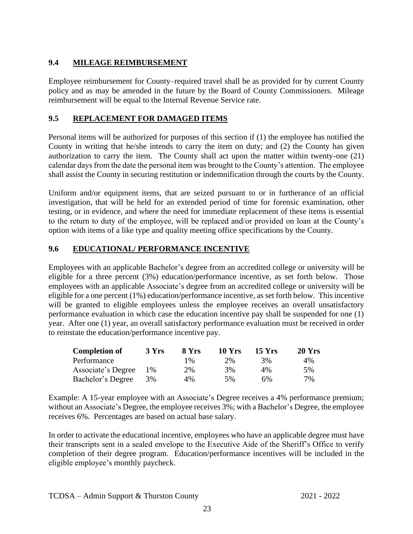#### <span id="page-27-0"></span>**9.4 MILEAGE REIMBURSEMENT**

Employee reimbursement for County–required travel shall be as provided for by current County policy and as may be amended in the future by the Board of County Commissioners. Mileage reimbursement will be equal to the Internal Revenue Service rate.

#### <span id="page-27-1"></span>**9.5 REPLACEMENT FOR DAMAGED ITEMS**

Personal items will be authorized for purposes of this section if (1) the employee has notified the County in writing that he/she intends to carry the item on duty; and (2) the County has given authorization to carry the item. The County shall act upon the matter within twenty-one (21) calendar days from the date the personal item was brought to the County's attention. The employee shall assist the County in securing restitution or indemnification through the courts by the County.

Uniform and/or equipment items, that are seized pursuant to or in furtherance of an official investigation, that will be held for an extended period of time for forensic examination, other testing, or in evidence, and where the need for immediate replacement of these items is essential to the return to duty of the employee, will be replaced and/or provided on loan at the County's option with items of a like type and quality meeting office specifications by the County.

#### <span id="page-27-2"></span>**9.6 EDUCATIONAL/ PERFORMANCE INCENTIVE**

Employees with an applicable Bachelor's degree from an accredited college or university will be eligible for a three percent (3%) education/performance incentive, as set forth below. Those employees with an applicable Associate's degree from an accredited college or university will be eligible for a one percent (1%) education/performance incentive, as set forth below. This incentive will be granted to eligible employees unless the employee receives an overall unsatisfactory performance evaluation in which case the education incentive pay shall be suspended for one (1) year. After one (1) year, an overall satisfactory performance evaluation must be received in order to reinstate the education/performance incentive pay.

| <b>Completion of</b> | 3 Yrs | 8 Yrs | <b>10 Yrs</b> | <b>15 Yrs</b> | $20$ Yrs |
|----------------------|-------|-------|---------------|---------------|----------|
| Performance          |       | $1\%$ | 2%            | 3%            | $4\%$    |
| Associate's Degree   | 1%    | 2%    | 3%            | $4\%$         | 5%       |
| Bachelor's Degree    | 3%    | $4\%$ | 5%            | 6%            | 7%       |

Example: A 15-year employee with an Associate's Degree receives a 4% performance premium; without an Associate's Degree, the employee receives 3%; with a Bachelor's Degree, the employee receives 6%. Percentages are based on actual base salary.

In order to activate the educational incentive, employees who have an applicable degree must have their transcripts sent in a sealed envelope to the Executive Aide of the Sheriff's Office to verify completion of their degree program. Education/performance incentives will be included in the eligible employee's monthly paycheck.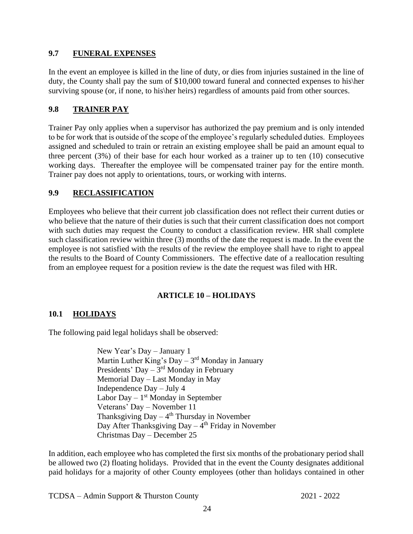#### <span id="page-28-0"></span>**9.7 FUNERAL EXPENSES**

In the event an employee is killed in the line of duty, or dies from injuries sustained in the line of duty, the County shall pay the sum of \$10,000 toward funeral and connected expenses to his\her surviving spouse (or, if none, to his her heirs) regardless of amounts paid from other sources.

#### **9.8 TRAINER PAY**

Trainer Pay only applies when a supervisor has authorized the pay premium and is only intended to be for work that is outside of the scope of the employee's regularly scheduled duties. Employees assigned and scheduled to train or retrain an existing employee shall be paid an amount equal to three percent (3%) of their base for each hour worked as a trainer up to ten (10) consecutive working days. Thereafter the employee will be compensated trainer pay for the entire month. Trainer pay does not apply to orientations, tours, or working with interns.

#### <span id="page-28-1"></span>**9.9 RECLASSIFICATION**

Employees who believe that their current job classification does not reflect their current duties or who believe that the nature of their duties is such that their current classification does not comport with such duties may request the County to conduct a classification review. HR shall complete such classification review within three (3) months of the date the request is made. In the event the employee is not satisfied with the results of the review the employee shall have to right to appeal the results to the Board of County Commissioners. The effective date of a reallocation resulting from an employee request for a position review is the date the request was filed with HR.

#### **ARTICLE 10 – HOLIDAYS**

#### <span id="page-28-3"></span><span id="page-28-2"></span>**10.1 HOLIDAYS**

The following paid legal holidays shall be observed:

New Year's Day – January 1 Martin Luther King's Day – 3<sup>rd</sup> Monday in January Presidents' Day – 3<sup>rd</sup> Monday in February Memorial Day – Last Monday in May Independence Day – July 4 Labor Day  $-1<sup>st</sup>$  Monday in September Veterans' Day – November 11 Thanksgiving  $Day - 4<sup>th</sup> Thursday$  in November Day After Thanksgiving Day – 4<sup>th</sup> Friday in November Christmas Day – December 25

In addition, each employee who has completed the first six months of the probationary period shall be allowed two (2) floating holidays. Provided that in the event the County designates additional paid holidays for a majority of other County employees (other than holidays contained in other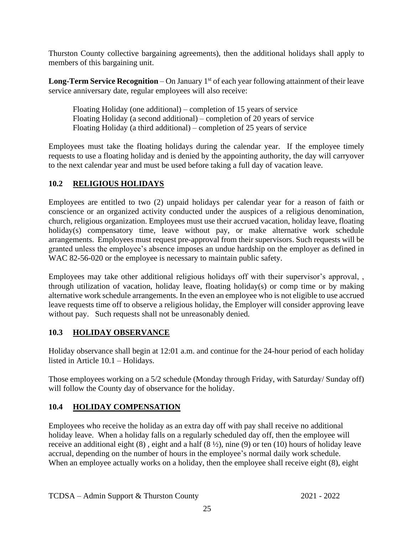Thurston County collective bargaining agreements), then the additional holidays shall apply to members of this bargaining unit.

**Long-Term Service Recognition** – On January 1<sup>st</sup> of each year following attainment of their leave service anniversary date, regular employees will also receive:

Floating Holiday (one additional) – completion of 15 years of service Floating Holiday (a second additional) – completion of 20 years of service Floating Holiday (a third additional) – completion of 25 years of service

Employees must take the floating holidays during the calendar year. If the employee timely requests to use a floating holiday and is denied by the appointing authority, the day will carryover to the next calendar year and must be used before taking a full day of vacation leave.

#### <span id="page-29-0"></span>**10.2 RELIGIOUS HOLIDAYS**

Employees are entitled to two (2) unpaid holidays per calendar year for a reason of faith or conscience or an organized activity conducted under the auspices of a religious denomination, church, religious organization. Employees must use their accrued vacation, holiday leave, floating holiday(s) compensatory time, leave without pay, or make alternative work schedule arrangements. Employees must request pre-approval from their supervisors. Such requests will be granted unless the employee's absence imposes an undue hardship on the employer as defined in WAC 82-56-020 or the employee is necessary to maintain public safety.

Employees may take other additional religious holidays off with their supervisor's approval, , through utilization of vacation, holiday leave, floating holiday(s) or comp time or by making alternative work schedule arrangements. In the even an employee who is not eligible to use accrued leave requests time off to observe a religious holiday, the Employer will consider approving leave without pay. Such requests shall not be unreasonably denied*.* 

#### <span id="page-29-1"></span>**10.3 HOLIDAY OBSERVANCE**

Holiday observance shall begin at 12:01 a.m. and continue for the 24-hour period of each holiday listed in Article 10.1 – Holidays.

Those employees working on a 5/2 schedule (Monday through Friday, with Saturday/ Sunday off) will follow the County day of observance for the holiday.

#### <span id="page-29-2"></span>**10.4 HOLIDAY COMPENSATION**

Employees who receive the holiday as an extra day off with pay shall receive no additional holiday leave. When a holiday falls on a regularly scheduled day off, then the employee will receive an additional eight (8) , eight and a half (8 ½), nine (9) or ten (10) hours of holiday leave accrual, depending on the number of hours in the employee's normal daily work schedule. When an employee actually works on a holiday, then the employee shall receive eight  $(8)$ , eight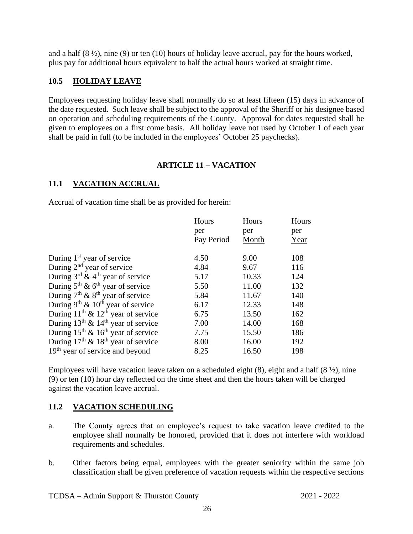and a half  $(8 \frac{1}{2})$ , nine  $(9)$  or ten  $(10)$  hours of holiday leave accrual, pay for the hours worked, plus pay for additional hours equivalent to half the actual hours worked at straight time.

#### <span id="page-30-0"></span>**10.5 HOLIDAY LEAVE**

Employees requesting holiday leave shall normally do so at least fifteen (15) days in advance of the date requested. Such leave shall be subject to the approval of the Sheriff or his designee based on operation and scheduling requirements of the County. Approval for dates requested shall be given to employees on a first come basis. All holiday leave not used by October 1 of each year shall be paid in full (to be included in the employees' October 25 paychecks).

#### **ARTICLE 11 – VACATION**

#### <span id="page-30-2"></span><span id="page-30-1"></span>**11.1 VACATION ACCRUAL**

Accrual of vacation time shall be as provided for herein:

|                                                   | Hours      | Hours | Hours |
|---------------------------------------------------|------------|-------|-------|
|                                                   | per        | per   | per   |
|                                                   | Pay Period | Month | Year  |
| During 1 <sup>st</sup> year of service            | 4.50       | 9.00  | 108   |
| During $2nd$ year of service                      | 4.84       | 9.67  | 116   |
| During $3^{rd}$ & 4 <sup>th</sup> year of service | 5.17       | 10.33 | 124   |
| During $5th$ & $6th$ year of service              | 5.50       | 11.00 | 132   |
| During $7th$ & $8th$ year of service              | 5.84       | 11.67 | 140   |
| During $9^{th}$ & $10^{th}$ year of service       | 6.17       | 12.33 | 148   |
| During $11^{th}$ & $12^{th}$ year of service      | 6.75       | 13.50 | 162   |
| During $13th$ & $14th$ year of service            | 7.00       | 14.00 | 168   |
| During $15^{th}$ & $16^{th}$ year of service      | 7.75       | 15.50 | 186   |
| During $17th$ & $18th$ year of service            | 8.00       | 16.00 | 192   |
| $19th$ year of service and beyond                 | 8.25       | 16.50 | 198   |

Employees will have vacation leave taken on a scheduled eight  $(8)$ , eight and a half  $(8 \frac{1}{2})$ , nine (9) or ten (10) hour day reflected on the time sheet and then the hours taken will be charged against the vacation leave accrual.

#### <span id="page-30-3"></span>**11.2 VACATION SCHEDULING**

- a. The County agrees that an employee's request to take vacation leave credited to the employee shall normally be honored, provided that it does not interfere with workload requirements and schedules.
- b. Other factors being equal, employees with the greater seniority within the same job classification shall be given preference of vacation requests within the respective sections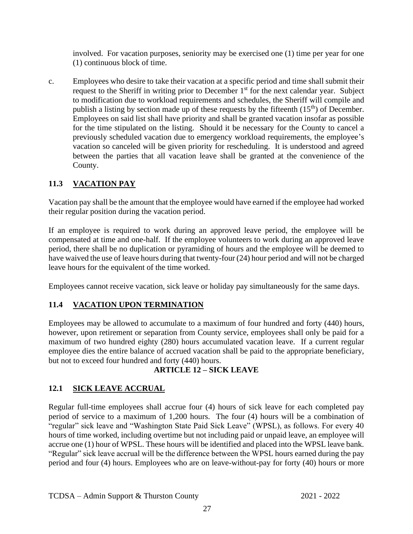involved. For vacation purposes, seniority may be exercised one (1) time per year for one (1) continuous block of time.

c. Employees who desire to take their vacation at a specific period and time shall submit their request to the Sheriff in writing prior to December 1<sup>st</sup> for the next calendar year. Subject to modification due to workload requirements and schedules, the Sheriff will compile and publish a listing by section made up of these requests by the fifteenth  $(15<sup>th</sup>)$  of December. Employees on said list shall have priority and shall be granted vacation insofar as possible for the time stipulated on the listing. Should it be necessary for the County to cancel a previously scheduled vacation due to emergency workload requirements, the employee's vacation so canceled will be given priority for rescheduling. It is understood and agreed between the parties that all vacation leave shall be granted at the convenience of the County.

#### <span id="page-31-0"></span>**11.3 VACATION PAY**

Vacation pay shall be the amount that the employee would have earned if the employee had worked their regular position during the vacation period.

If an employee is required to work during an approved leave period, the employee will be compensated at time and one-half. If the employee volunteers to work during an approved leave period, there shall be no duplication or pyramiding of hours and the employee will be deemed to have waived the use of leave hours during that twenty-four (24) hour period and will not be charged leave hours for the equivalent of the time worked.

Employees cannot receive vacation, sick leave or holiday pay simultaneously for the same days.

#### <span id="page-31-1"></span>**11.4 VACATION UPON TERMINATION**

Employees may be allowed to accumulate to a maximum of four hundred and forty (440) hours, however, upon retirement or separation from County service, employees shall only be paid for a maximum of two hundred eighty (280) hours accumulated vacation leave. If a current regular employee dies the entire balance of accrued vacation shall be paid to the appropriate beneficiary, but not to exceed four hundred and forty (440) hours.

#### **ARTICLE 12 – SICK LEAVE**

#### <span id="page-31-3"></span><span id="page-31-2"></span>**12.1 SICK LEAVE ACCRUAL**

Regular full-time employees shall accrue four (4) hours of sick leave for each completed pay period of service to a maximum of 1,200 hours. The four (4) hours will be a combination of "regular" sick leave and "Washington State Paid Sick Leave" (WPSL), as follows. For every 40 hours of time worked, including overtime but not including paid or unpaid leave, an employee will accrue one (1) hour of WPSL. These hours will be identified and placed into the WPSL leave bank. "Regular" sick leave accrual will be the difference between the WPSL hours earned during the pay period and four (4) hours. Employees who are on leave-without-pay for forty (40) hours or more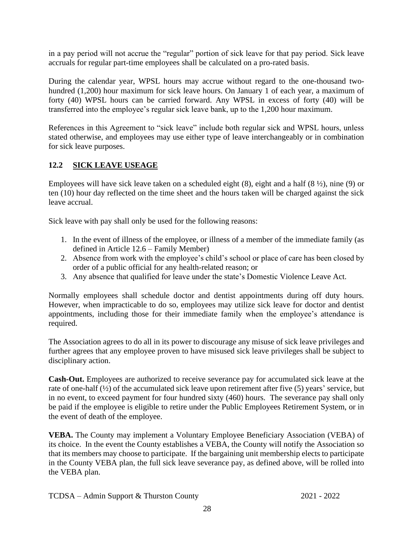in a pay period will not accrue the "regular" portion of sick leave for that pay period. Sick leave accruals for regular part-time employees shall be calculated on a pro-rated basis.

During the calendar year, WPSL hours may accrue without regard to the one-thousand twohundred (1,200) hour maximum for sick leave hours. On January 1 of each year, a maximum of forty (40) WPSL hours can be carried forward. Any WPSL in excess of forty (40) will be transferred into the employee's regular sick leave bank, up to the 1,200 hour maximum.

References in this Agreement to "sick leave" include both regular sick and WPSL hours, unless stated otherwise, and employees may use either type of leave interchangeably or in combination for sick leave purposes.

#### <span id="page-32-0"></span>**12.2 SICK LEAVE USEAGE**

Employees will have sick leave taken on a scheduled eight  $(8)$ , eight and a half  $(8 \frac{1}{2})$ , nine  $(9)$  or ten (10) hour day reflected on the time sheet and the hours taken will be charged against the sick leave accrual.

Sick leave with pay shall only be used for the following reasons:

- 1. In the event of illness of the employee, or illness of a member of the immediate family (as defined in Article 12.6 – Family Member)
- 2. Absence from work with the employee's child's school or place of care has been closed by order of a public official for any health-related reason; or
- 3. Any absence that qualified for leave under the state's Domestic Violence Leave Act.

Normally employees shall schedule doctor and dentist appointments during off duty hours. However, when impracticable to do so, employees may utilize sick leave for doctor and dentist appointments, including those for their immediate family when the employee's attendance is required.

The Association agrees to do all in its power to discourage any misuse of sick leave privileges and further agrees that any employee proven to have misused sick leave privileges shall be subject to disciplinary action.

**Cash-Out.** Employees are authorized to receive severance pay for accumulated sick leave at the rate of one-half (½) of the accumulated sick leave upon retirement after five (5) years' service, but in no event, to exceed payment for four hundred sixty (460) hours. The severance pay shall only be paid if the employee is eligible to retire under the Public Employees Retirement System, or in the event of death of the employee.

**VEBA.** The County may implement a Voluntary Employee Beneficiary Association (VEBA) of its choice. In the event the County establishes a VEBA, the County will notify the Association so that its members may choose to participate. If the bargaining unit membership elects to participate in the County VEBA plan, the full sick leave severance pay, as defined above, will be rolled into the VEBA plan.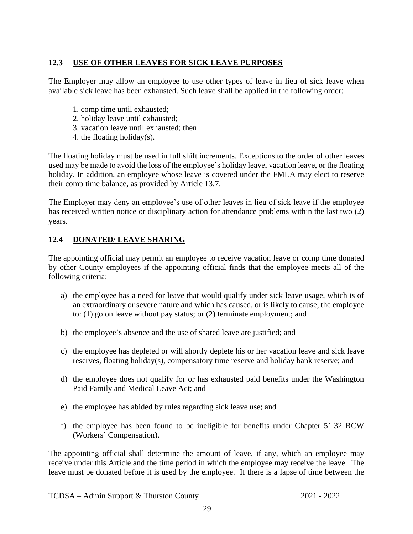#### <span id="page-33-0"></span>**12.3 USE OF OTHER LEAVES FOR SICK LEAVE PURPOSES**

The Employer may allow an employee to use other types of leave in lieu of sick leave when available sick leave has been exhausted. Such leave shall be applied in the following order:

- 1. comp time until exhausted;
- 2. holiday leave until exhausted;
- 3. vacation leave until exhausted; then
- 4. the floating holiday(s).

The floating holiday must be used in full shift increments. Exceptions to the order of other leaves used may be made to avoid the loss of the employee's holiday leave, vacation leave, or the floating holiday. In addition, an employee whose leave is covered under the FMLA may elect to reserve their comp time balance, as provided by Article 13.7.

The Employer may deny an employee's use of other leaves in lieu of sick leave if the employee has received written notice or disciplinary action for attendance problems within the last two (2) years.

#### <span id="page-33-1"></span>**12.4 DONATED/ LEAVE SHARING**

The appointing official may permit an employee to receive vacation leave or comp time donated by other County employees if the appointing official finds that the employee meets all of the following criteria:

- a) the employee has a need for leave that would qualify under sick leave usage, which is of an extraordinary or severe nature and which has caused, or is likely to cause, the employee to: (1) go on leave without pay status; or (2) terminate employment; and
- b) the employee's absence and the use of shared leave are justified; and
- c) the employee has depleted or will shortly deplete his or her vacation leave and sick leave reserves, floating holiday(s), compensatory time reserve and holiday bank reserve; and
- d) the employee does not qualify for or has exhausted paid benefits under the Washington Paid Family and Medical Leave Act; and
- e) the employee has abided by rules regarding sick leave use; and
- f) the employee has been found to be ineligible for benefits under Chapter 51.32 RCW (Workers' Compensation).

The appointing official shall determine the amount of leave, if any, which an employee may receive under this Article and the time period in which the employee may receive the leave. The leave must be donated before it is used by the employee. If there is a lapse of time between the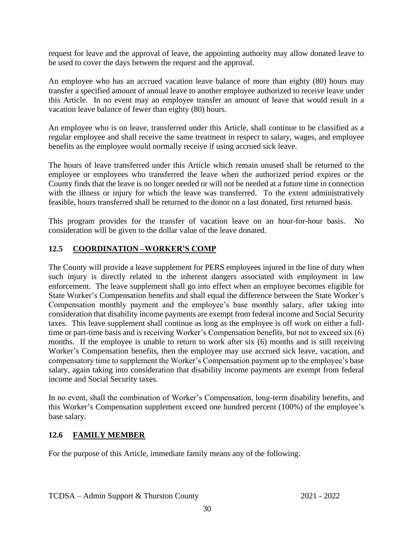request for leave and the approval of leave, the appointing authority may allow donated leave to be used to cover the days between the request and the approval.

An employee who has an accrued vacation leave balance of more than eighty (80) hours may transfer a specified amount of annual leave to another employee authorized to receive leave under this Article. In no event may an employee transfer an amount of leave that would result in a vacation leave balance of fewer than eighty (80) hours.

An employee who is on leave, transferred under this Article, shall continue to be classified as a regular employee and shall receive the same treatment in respect to salary, wages, and employee benefits as the employee would normally receive if using accrued sick leave.

The hours of leave transferred under this Article which remain unused shall be returned to the employee or employees who transferred the leave when the authorized period expires or the County finds that the leave is no longer needed or will not be needed at a future time in connection with the illness or injury for which the leave was transferred. To the extent administratively feasible, hours transferred shall be returned to the donor on a last donated, first returned basis.

This program provides for the transfer of vacation leave on an hour-for-hour basis. No consideration will be given to the dollar value of the leave donated.

#### <span id="page-34-0"></span>**12.5 COORDINATION –WORKER'S COMP**

The County will provide a leave supplement for PERS employees injured in the line of duty when such injury is directly related to the inherent dangers associated with employment in law enforcement. The leave supplement shall go into effect when an employee becomes eligible for State Worker's Compensation benefits and shall equal the difference between the State Worker's Compensation monthly payment and the employee's base monthly salary, after taking into consideration that disability income payments are exempt from federal income and Social Security taxes. This leave supplement shall continue as long as the employee is off work on either a fulltime or part-time basis and is receiving Worker's Compensation benefits, but not to exceed six (6) months. If the employee is unable to return to work after six (6) months and is still receiving Worker's Compensation benefits, then the employee may use accrued sick leave, vacation, and compensatory time to supplement the Worker's Compensation payment up to the employee's base salary, again taking into consideration that disability income payments are exempt from federal income and Social Security taxes.

In no event, shall the combination of Worker's Compensation, long-term disability benefits, and this Worker's Compensation supplement exceed one hundred percent (100%) of the employee's base salary.

#### <span id="page-34-1"></span>**12.6 FAMILY MEMBER**

For the purpose of this Article, immediate family means any of the following: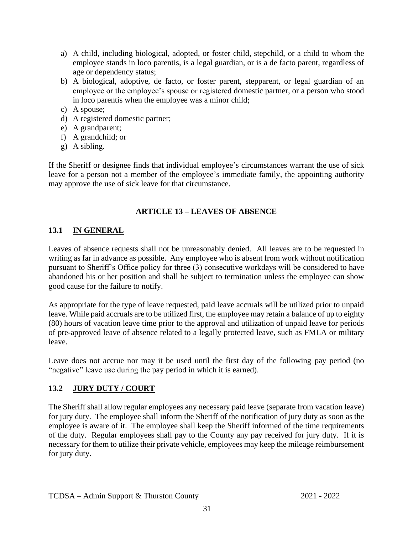- a) A child, including biological, adopted, or foster child, stepchild, or a child to whom the employee stands in loco parentis, is a legal guardian, or is a de facto parent, regardless of age or dependency status;
- b) A biological, adoptive, de facto, or foster parent, stepparent, or legal guardian of an employee or the employee's spouse or registered domestic partner, or a person who stood in loco parentis when the employee was a minor child;
- c) A spouse;
- d) A registered domestic partner;
- e) A grandparent;
- f) A grandchild; or
- g) A sibling.

If the Sheriff or designee finds that individual employee's circumstances warrant the use of sick leave for a person not a member of the employee's immediate family, the appointing authority may approve the use of sick leave for that circumstance.

#### **ARTICLE 13 – LEAVES OF ABSENCE**

#### <span id="page-35-1"></span><span id="page-35-0"></span>**13.1 IN GENERAL**

Leaves of absence requests shall not be unreasonably denied. All leaves are to be requested in writing as far in advance as possible. Any employee who is absent from work without notification pursuant to Sheriff's Office policy for three (3) consecutive workdays will be considered to have abandoned his or her position and shall be subject to termination unless the employee can show good cause for the failure to notify.

As appropriate for the type of leave requested, paid leave accruals will be utilized prior to unpaid leave. While paid accruals are to be utilized first, the employee may retain a balance of up to eighty (80) hours of vacation leave time prior to the approval and utilization of unpaid leave for periods of pre-approved leave of absence related to a legally protected leave, such as FMLA or military leave.

Leave does not accrue nor may it be used until the first day of the following pay period (no "negative" leave use during the pay period in which it is earned).

#### <span id="page-35-2"></span>**13.2 JURY DUTY / COURT**

The Sheriff shall allow regular employees any necessary paid leave (separate from vacation leave) for jury duty. The employee shall inform the Sheriff of the notification of jury duty as soon as the employee is aware of it. The employee shall keep the Sheriff informed of the time requirements of the duty. Regular employees shall pay to the County any pay received for jury duty. If it is necessary for them to utilize their private vehicle, employees may keep the mileage reimbursement for jury duty.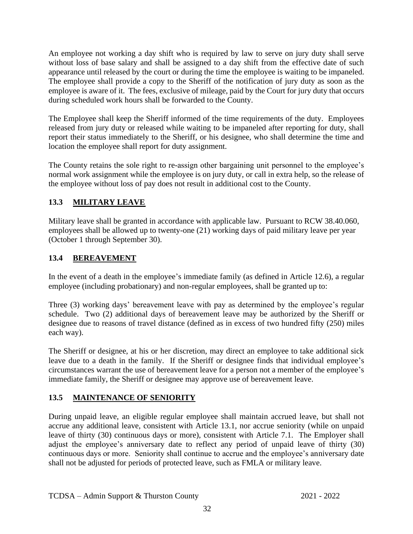An employee not working a day shift who is required by law to serve on jury duty shall serve without loss of base salary and shall be assigned to a day shift from the effective date of such appearance until released by the court or during the time the employee is waiting to be impaneled. The employee shall provide a copy to the Sheriff of the notification of jury duty as soon as the employee is aware of it. The fees, exclusive of mileage, paid by the Court for jury duty that occurs during scheduled work hours shall be forwarded to the County.

The Employee shall keep the Sheriff informed of the time requirements of the duty. Employees released from jury duty or released while waiting to be impaneled after reporting for duty, shall report their status immediately to the Sheriff, or his designee, who shall determine the time and location the employee shall report for duty assignment.

The County retains the sole right to re-assign other bargaining unit personnel to the employee's normal work assignment while the employee is on jury duty, or call in extra help, so the release of the employee without loss of pay does not result in additional cost to the County.

#### <span id="page-36-0"></span>**13.3 MILITARY LEAVE**

Military leave shall be granted in accordance with applicable law. Pursuant to RCW 38.40.060, employees shall be allowed up to twenty-one (21) working days of paid military leave per year (October 1 through September 30).

#### <span id="page-36-1"></span>**13.4 BEREAVEMENT**

In the event of a death in the employee's immediate family (as defined in Article 12.6), a regular employee (including probationary) and non-regular employees, shall be granted up to:

Three (3) working days' bereavement leave with pay as determined by the employee's regular schedule. Two (2) additional days of bereavement leave may be authorized by the Sheriff or designee due to reasons of travel distance (defined as in excess of two hundred fifty (250) miles each way).

The Sheriff or designee, at his or her discretion, may direct an employee to take additional sick leave due to a death in the family. If the Sheriff or designee finds that individual employee's circumstances warrant the use of bereavement leave for a person not a member of the employee's immediate family, the Sheriff or designee may approve use of bereavement leave.

#### <span id="page-36-2"></span>**13.5 MAINTENANCE OF SENIORITY**

During unpaid leave, an eligible regular employee shall maintain accrued leave, but shall not accrue any additional leave, consistent with Article 13.1, nor accrue seniority (while on unpaid leave of thirty (30) continuous days or more), consistent with Article 7.1. The Employer shall adjust the employee's anniversary date to reflect any period of unpaid leave of thirty (30) continuous days or more. Seniority shall continue to accrue and the employee's anniversary date shall not be adjusted for periods of protected leave, such as FMLA or military leave.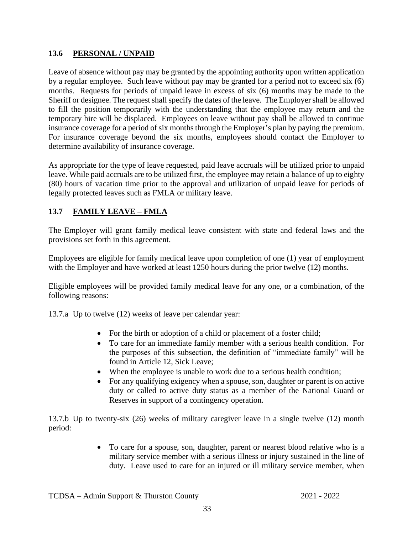#### <span id="page-37-0"></span>**13.6 PERSONAL / UNPAID**

Leave of absence without pay may be granted by the appointing authority upon written application by a regular employee. Such leave without pay may be granted for a period not to exceed six (6) months. Requests for periods of unpaid leave in excess of six (6) months may be made to the Sheriff or designee. The request shall specify the dates of the leave. The Employer shall be allowed to fill the position temporarily with the understanding that the employee may return and the temporary hire will be displaced. Employees on leave without pay shall be allowed to continue insurance coverage for a period of six months through the Employer's plan by paying the premium. For insurance coverage beyond the six months, employees should contact the Employer to determine availability of insurance coverage.

As appropriate for the type of leave requested, paid leave accruals will be utilized prior to unpaid leave. While paid accruals are to be utilized first, the employee may retain a balance of up to eighty (80) hours of vacation time prior to the approval and utilization of unpaid leave for periods of legally protected leaves such as FMLA or military leave.

#### <span id="page-37-1"></span>**13.7 FAMILY LEAVE – FMLA**

The Employer will grant family medical leave consistent with state and federal laws and the provisions set forth in this agreement.

Employees are eligible for family medical leave upon completion of one (1) year of employment with the Employer and have worked at least 1250 hours during the prior twelve (12) months.

Eligible employees will be provided family medical leave for any one, or a combination, of the following reasons:

13.7.a Up to twelve (12) weeks of leave per calendar year:

- For the birth or adoption of a child or placement of a foster child;
- To care for an immediate family member with a serious health condition. For the purposes of this subsection, the definition of "immediate family" will be found in Article 12, Sick Leave;
- When the employee is unable to work due to a serious health condition;
- For any qualifying exigency when a spouse, son, daughter or parent is on active duty or called to active duty status as a member of the National Guard or Reserves in support of a contingency operation.

13.7.b Up to twenty-six (26) weeks of military caregiver leave in a single twelve (12) month period:

> • To care for a spouse, son, daughter, parent or nearest blood relative who is a military service member with a serious illness or injury sustained in the line of duty. Leave used to care for an injured or ill military service member, when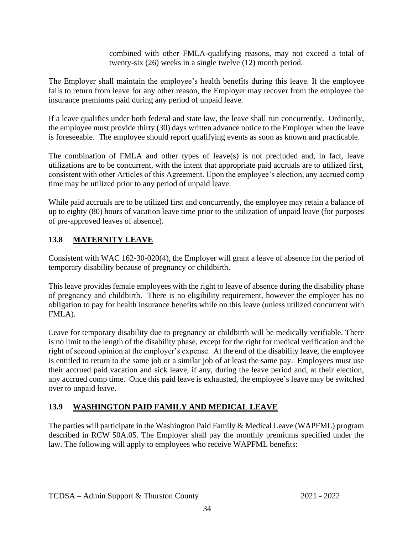combined with other FMLA-qualifying reasons, may not exceed a total of twenty-six (26) weeks in a single twelve (12) month period.

The Employer shall maintain the employee's health benefits during this leave. If the employee fails to return from leave for any other reason, the Employer may recover from the employee the insurance premiums paid during any period of unpaid leave.

If a leave qualifies under both federal and state law, the leave shall run concurrently. Ordinarily, the employee must provide thirty (30) days written advance notice to the Employer when the leave is foreseeable. The employee should report qualifying events as soon as known and practicable.

The combination of FMLA and other types of leave(s) is not precluded and, in fact, leave utilizations are to be concurrent, with the intent that appropriate paid accruals are to utilized first, consistent with other Articles of this Agreement. Upon the employee's election, any accrued comp time may be utilized prior to any period of unpaid leave.

While paid accruals are to be utilized first and concurrently, the employee may retain a balance of up to eighty (80) hours of vacation leave time prior to the utilization of unpaid leave (for purposes of pre-approved leaves of absence).

#### <span id="page-38-0"></span>**13.8 MATERNITY LEAVE**

Consistent with WAC 162-30-020(4), the Employer will grant a leave of absence for the period of temporary disability because of pregnancy or childbirth.

This leave provides female employees with the right to leave of absence during the disability phase of pregnancy and childbirth. There is no eligibility requirement, however the employer has no obligation to pay for health insurance benefits while on this leave (unless utilized concurrent with FMLA).

Leave for temporary disability due to pregnancy or childbirth will be medically verifiable. There is no limit to the length of the disability phase, except for the right for medical verification and the right of second opinion at the employer's expense. At the end of the disability leave, the employee is entitled to return to the same job or a similar job of at least the same pay. Employees must use their accrued paid vacation and sick leave, if any, during the leave period and, at their election, any accrued comp time. Once this paid leave is exhausted, the employee's leave may be switched over to unpaid leave.

#### <span id="page-38-1"></span>**13.9 WASHINGTON PAID FAMILY AND MEDICAL LEAVE**

The parties will participate in the Washington Paid Family & Medical Leave (WAPFML) program described in RCW 50A.05. The Employer shall pay the monthly premiums specified under the law. The following will apply to employees who receive WAPFML benefits: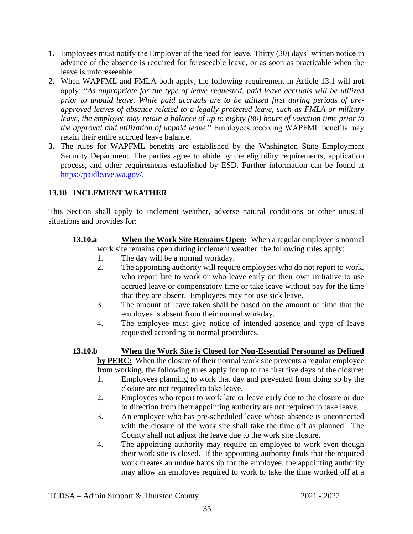- **1.** Employees must notify the Employer of the need for leave. Thirty (30) days' written notice in advance of the absence is required for foreseeable leave, or as soon as practicable when the leave is unforeseeable.
- **2.** When WAPFML and FMLA both apply, the following requirement in Article 13.1 will **not** apply: "*As appropriate for the type of leave requested, paid leave accruals will be utilized prior to unpaid leave. While paid accruals are to be utilized first during periods of preapproved leaves of absence related to a legally protected leave, such as FMLA or military leave, the employee may retain a balance of up to eighty (80) hours of vacation time prior to the approval and utilization of unpaid leave.*" Employees receiving WAPFML benefits may retain their entire accrued leave balance.
- **3.** The rules for WAPFML benefits are established by the Washington State Employment Security Department. The parties agree to abide by the eligibility requirements, application process, and other requirements established by ESD. Further information can be found at [https://paidleave.wa.gov/.](https://paidleave.wa.gov/)

#### <span id="page-39-0"></span>**13.10 INCLEMENT WEATHER**

This Section shall apply to inclement weather, adverse natural conditions or other unusual situations and provides for:

- **13.10.a When the Work Site Remains Open:** When a regular employee's normal work site remains open during inclement weather, the following rules apply:
	- 1. The day will be a normal workday.
	- 2. The appointing authority will require employees who do not report to work, who report late to work or who leave early on their own initiative to use accrued leave or compensatory time or take leave without pay for the time that they are absent. Employees may not use sick leave.
	- 3. The amount of leave taken shall be based on the amount of time that the employee is absent from their normal workday.
	- 4. The employee must give notice of intended absence and type of leave requested according to normal procedures.
- **13.10.b When the Work Site is Closed for Non-Essential Personnel as Defined by PERC:** When the closure of their normal work site prevents a regular employee from working, the following rules apply for up to the first five days of the closure:
	- 1. Employees planning to work that day and prevented from doing so by the closure are not required to take leave.
	- 2. Employees who report to work late or leave early due to the closure or due to direction from their appointing authority are not required to take leave.
	- 3. An employee who has pre-scheduled leave whose absence is unconnected with the closure of the work site shall take the time off as planned. The County shall not adjust the leave due to the work site closure.
	- 4. The appointing authority may require an employee to work even though their work site is closed. If the appointing authority finds that the required work creates an undue hardship for the employee, the appointing authority may allow an employee required to work to take the time worked off at a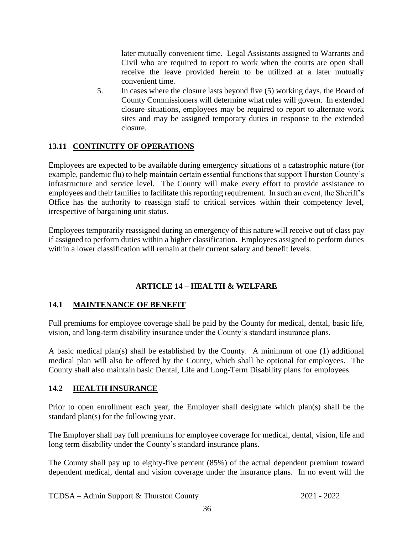later mutually convenient time. Legal Assistants assigned to Warrants and Civil who are required to report to work when the courts are open shall receive the leave provided herein to be utilized at a later mutually convenient time.

5. In cases where the closure lasts beyond five (5) working days, the Board of County Commissioners will determine what rules will govern. In extended closure situations, employees may be required to report to alternate work sites and may be assigned temporary duties in response to the extended closure.

#### <span id="page-40-0"></span>**13.11 CONTINUITY OF OPERATIONS**

Employees are expected to be available during emergency situations of a catastrophic nature (for example, pandemic flu) to help maintain certain essential functions that support Thurston County's infrastructure and service level. The County will make every effort to provide assistance to employees and their families to facilitate this reporting requirement. In such an event, the Sheriff's Office has the authority to reassign staff to critical services within their competency level, irrespective of bargaining unit status.

Employees temporarily reassigned during an emergency of this nature will receive out of class pay if assigned to perform duties within a higher classification. Employees assigned to perform duties within a lower classification will remain at their current salary and benefit levels.

#### **ARTICLE 14 – HEALTH & WELFARE**

#### <span id="page-40-2"></span><span id="page-40-1"></span>**14.1 MAINTENANCE OF BENEFIT**

Full premiums for employee coverage shall be paid by the County for medical, dental, basic life, vision, and long-term disability insurance under the County's standard insurance plans.

A basic medical plan(s) shall be established by the County. A minimum of one (1) additional medical plan will also be offered by the County, which shall be optional for employees. The County shall also maintain basic Dental, Life and Long-Term Disability plans for employees.

#### <span id="page-40-3"></span>**14.2 HEALTH INSURANCE**

Prior to open enrollment each year, the Employer shall designate which plan(s) shall be the standard plan(s) for the following year.

The Employer shall pay full premiums for employee coverage for medical, dental, vision, life and long term disability under the County's standard insurance plans.

The County shall pay up to eighty-five percent (85%) of the actual dependent premium toward dependent medical, dental and vision coverage under the insurance plans. In no event will the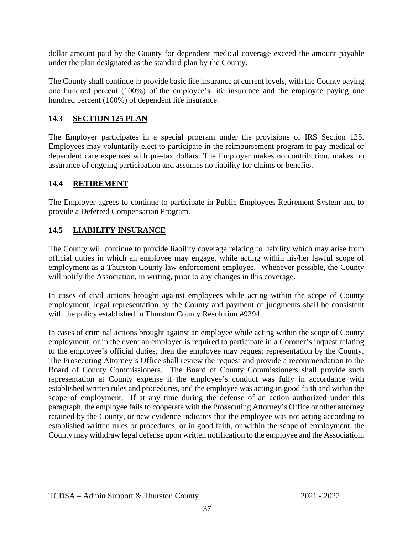dollar amount paid by the County for dependent medical coverage exceed the amount payable under the plan designated as the standard plan by the County.

The County shall continue to provide basic life insurance at current levels, with the County paying one hundred percent (100%) of the employee's life insurance and the employee paying one hundred percent (100%) of dependent life insurance.

#### <span id="page-41-0"></span>**14.3 SECTION 125 PLAN**

The Employer participates in a special program under the provisions of IRS Section 125. Employees may voluntarily elect to participate in the reimbursement program to pay medical or dependent care expenses with pre-tax dollars. The Employer makes no contribution, makes no assurance of ongoing participation and assumes no liability for claims or benefits.

#### <span id="page-41-1"></span>**14.4 RETIREMENT**

The Employer agrees to continue to participate in Public Employees Retirement System and to provide a Deferred Compensation Program.

#### <span id="page-41-2"></span>**14.5 LIABILITY INSURANCE**

The County will continue to provide liability coverage relating to liability which may arise from official duties in which an employee may engage, while acting within his/her lawful scope of employment as a Thurston County law enforcement employee. Whenever possible, the County will notify the Association, in writing, prior to any changes in this coverage.

In cases of civil actions brought against employees while acting within the scope of County employment, legal representation by the County and payment of judgments shall be consistent with the policy established in Thurston County Resolution #9394.

In cases of criminal actions brought against an employee while acting within the scope of County employment, or in the event an employee is required to participate in a Coroner's inquest relating to the employee's official duties, then the employee may request representation by the County. The Prosecuting Attorney's Office shall review the request and provide a recommendation to the Board of County Commissioners. The Board of County Commissioners shall provide such representation at County expense if the employee's conduct was fully in accordance with established written rules and procedures, and the employee was acting in good faith and within the scope of employment. If at any time during the defense of an action authorized under this paragraph, the employee fails to cooperate with the Prosecuting Attorney's Office or other attorney retained by the County, or new evidence indicates that the employee was not acting according to established written rules or procedures, or in good faith, or within the scope of employment, the County may withdraw legal defense upon written notification to the employee and the Association.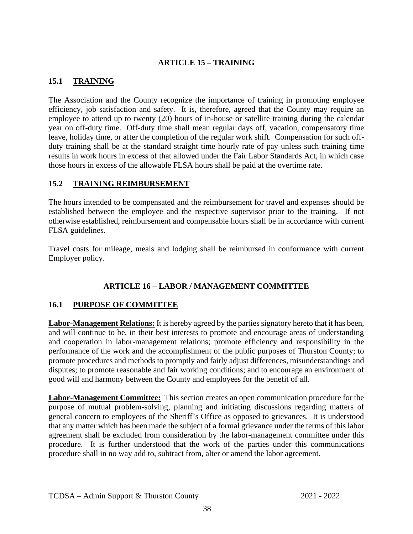#### **ARTICLE 15 – TRAINING**

#### <span id="page-42-1"></span><span id="page-42-0"></span>**15.1 TRAINING**

The Association and the County recognize the importance of training in promoting employee efficiency, job satisfaction and safety. It is, therefore, agreed that the County may require an employee to attend up to twenty (20) hours of in-house or satellite training during the calendar year on off-duty time. Off-duty time shall mean regular days off, vacation, compensatory time leave, holiday time, or after the completion of the regular work shift. Compensation for such offduty training shall be at the standard straight time hourly rate of pay unless such training time results in work hours in excess of that allowed under the Fair Labor Standards Act, in which case those hours in excess of the allowable FLSA hours shall be paid at the overtime rate.

#### <span id="page-42-2"></span>**15.2 TRAINING REIMBURSEMENT**

The hours intended to be compensated and the reimbursement for travel and expenses should be established between the employee and the respective supervisor prior to the training. If not otherwise established, reimbursement and compensable hours shall be in accordance with current FLSA guidelines.

Travel costs for mileage, meals and lodging shall be reimbursed in conformance with current Employer policy.

#### **ARTICLE 16 – LABOR / MANAGEMENT COMMITTEE**

#### <span id="page-42-4"></span><span id="page-42-3"></span>**16.1 PURPOSE OF COMMITTEE**

**Labor-Management Relations:** It is hereby agreed by the parties signatory hereto that it has been, and will continue to be, in their best interests to promote and encourage areas of understanding and cooperation in labor-management relations; promote efficiency and responsibility in the performance of the work and the accomplishment of the public purposes of Thurston County; to promote procedures and methods to promptly and fairly adjust differences, misunderstandings and disputes; to promote reasonable and fair working conditions; and to encourage an environment of good will and harmony between the County and employees for the benefit of all.

**Labor-Management Committee:** This section creates an open communication procedure for the purpose of mutual problem-solving, planning and initiating discussions regarding matters of general concern to employees of the Sheriff's Office as opposed to grievances. It is understood that any matter which has been made the subject of a formal grievance under the terms of this labor agreement shall be excluded from consideration by the labor-management committee under this procedure. It is further understood that the work of the parties under this communications procedure shall in no way add to, subtract from, alter or amend the labor agreement.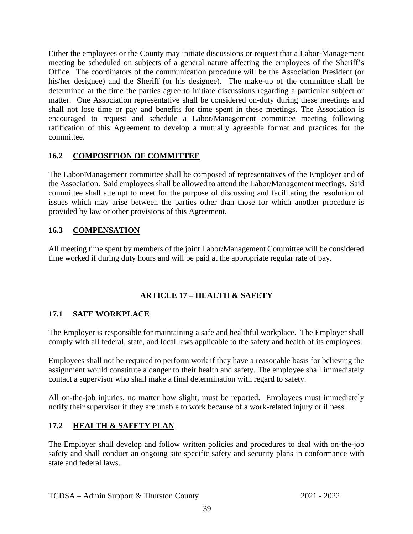Either the employees or the County may initiate discussions or request that a Labor-Management meeting be scheduled on subjects of a general nature affecting the employees of the Sheriff's Office. The coordinators of the communication procedure will be the Association President (or his/her designee) and the Sheriff (or his designee). The make-up of the committee shall be determined at the time the parties agree to initiate discussions regarding a particular subject or matter. One Association representative shall be considered on-duty during these meetings and shall not lose time or pay and benefits for time spent in these meetings. The Association is encouraged to request and schedule a Labor/Management committee meeting following ratification of this Agreement to develop a mutually agreeable format and practices for the committee.

#### <span id="page-43-0"></span>**16.2 COMPOSITION OF COMMITTEE**

The Labor/Management committee shall be composed of representatives of the Employer and of the Association. Said employees shall be allowed to attend the Labor/Management meetings. Said committee shall attempt to meet for the purpose of discussing and facilitating the resolution of issues which may arise between the parties other than those for which another procedure is provided by law or other provisions of this Agreement.

#### <span id="page-43-1"></span>**16.3 COMPENSATION**

All meeting time spent by members of the joint Labor/Management Committee will be considered time worked if during duty hours and will be paid at the appropriate regular rate of pay.

#### **ARTICLE 17 – HEALTH & SAFETY**

#### <span id="page-43-3"></span><span id="page-43-2"></span>**17.1 SAFE WORKPLACE**

The Employer is responsible for maintaining a safe and healthful workplace. The Employer shall comply with all federal, state, and local laws applicable to the safety and health of its employees.

Employees shall not be required to perform work if they have a reasonable basis for believing the assignment would constitute a danger to their health and safety. The employee shall immediately contact a supervisor who shall make a final determination with regard to safety.

All on-the-job injuries, no matter how slight, must be reported. Employees must immediately notify their supervisor if they are unable to work because of a work-related injury or illness.

#### <span id="page-43-4"></span>**17.2 HEALTH & SAFETY PLAN**

The Employer shall develop and follow written policies and procedures to deal with on-the-job safety and shall conduct an ongoing site specific safety and security plans in conformance with state and federal laws.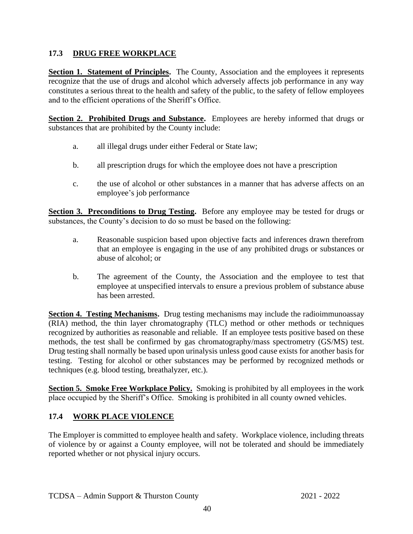#### <span id="page-44-0"></span>**17.3 DRUG FREE WORKPLACE**

**Section 1. Statement of Principles.** The County, Association and the employees it represents recognize that the use of drugs and alcohol which adversely affects job performance in any way constitutes a serious threat to the health and safety of the public, to the safety of fellow employees and to the efficient operations of the Sheriff's Office.

Section 2. Prohibited **Drugs and Substance.** Employees are hereby informed that drugs or substances that are prohibited by the County include:

- a. all illegal drugs under either Federal or State law;
- b. all prescription drugs for which the employee does not have a prescription
- c. the use of alcohol or other substances in a manner that has adverse affects on an employee's job performance

**Section 3. Preconditions to Drug Testing.** Before any employee may be tested for drugs or substances, the County's decision to do so must be based on the following:

- a. Reasonable suspicion based upon objective facts and inferences drawn therefrom that an employee is engaging in the use of any prohibited drugs or substances or abuse of alcohol; or
- b. The agreement of the County, the Association and the employee to test that employee at unspecified intervals to ensure a previous problem of substance abuse has been arrested.

**Section 4. Testing Mechanisms.** Drug testing mechanisms may include the radioimmunoassay (RIA) method, the thin layer chromatography (TLC) method or other methods or techniques recognized by authorities as reasonable and reliable. If an employee tests positive based on these methods, the test shall be confirmed by gas chromatography/mass spectrometry (GS/MS) test. Drug testing shall normally be based upon urinalysis unless good cause exists for another basis for testing. Testing for alcohol or other substances may be performed by recognized methods or techniques (e.g. blood testing, breathalyzer, etc.).

**Section 5. Smoke Free Workplace Policy.** Smoking is prohibited by all employees in the work place occupied by the Sheriff's Office. Smoking is prohibited in all county owned vehicles.

#### <span id="page-44-1"></span>**17.4 WORK PLACE VIOLENCE**

The Employer is committed to employee health and safety. Workplace violence, including threats of violence by or against a County employee, will not be tolerated and should be immediately reported whether or not physical injury occurs.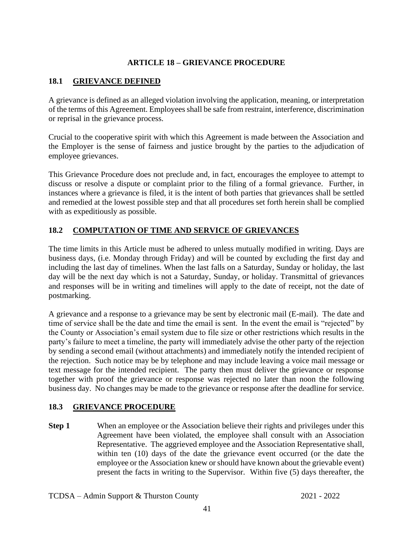#### **ARTICLE 18 – GRIEVANCE PROCEDURE**

#### <span id="page-45-1"></span><span id="page-45-0"></span>**18.1 GRIEVANCE DEFINED**

A grievance is defined as an alleged violation involving the application, meaning, or interpretation of the terms of this Agreement. Employees shall be safe from restraint, interference, discrimination or reprisal in the grievance process.

Crucial to the cooperative spirit with which this Agreement is made between the Association and the Employer is the sense of fairness and justice brought by the parties to the adjudication of employee grievances.

This Grievance Procedure does not preclude and, in fact, encourages the employee to attempt to discuss or resolve a dispute or complaint prior to the filing of a formal grievance. Further, in instances where a grievance is filed, it is the intent of both parties that grievances shall be settled and remedied at the lowest possible step and that all procedures set forth herein shall be complied with as expeditiously as possible.

#### <span id="page-45-2"></span>**18.2 COMPUTATION OF TIME AND SERVICE OF GRIEVANCES**

The time limits in this Article must be adhered to unless mutually modified in writing. Days are business days, (i.e. Monday through Friday) and will be counted by excluding the first day and including the last day of timelines. When the last falls on a Saturday, Sunday or holiday, the last day will be the next day which is not a Saturday, Sunday, or holiday. Transmittal of grievances and responses will be in writing and timelines will apply to the date of receipt, not the date of postmarking.

A grievance and a response to a grievance may be sent by electronic mail (E-mail). The date and time of service shall be the date and time the email is sent. In the event the email is "rejected" by the County or Association's email system due to file size or other restrictions which results in the party's failure to meet a timeline, the party will immediately advise the other party of the rejection by sending a second email (without attachments) and immediately notify the intended recipient of the rejection. Such notice may be by telephone and may include leaving a voice mail message or text message for the intended recipient. The party then must deliver the grievance or response together with proof the grievance or response was rejected no later than noon the following business day. No changes may be made to the grievance or response after the deadline for service.

#### <span id="page-45-3"></span>**18.3 GRIEVANCE PROCEDURE**

**Step 1** When an employee or the Association believe their rights and privileges under this Agreement have been violated, the employee shall consult with an Association Representative. The aggrieved employee and the Association Representative shall, within ten (10) days of the date the grievance event occurred (or the date the employee or the Association knew or should have known about the grievable event) present the facts in writing to the Supervisor. Within five (5) days thereafter, the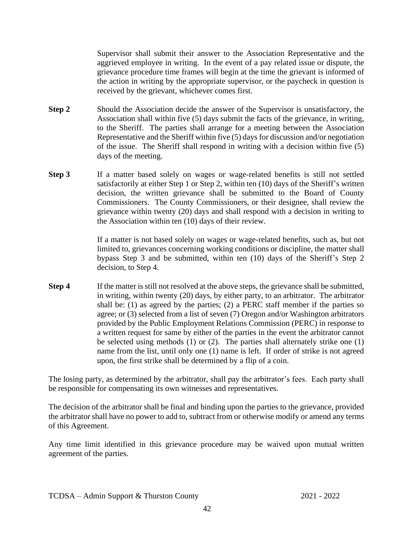Supervisor shall submit their answer to the Association Representative and the aggrieved employee in writing. In the event of a pay related issue or dispute, the grievance procedure time frames will begin at the time the grievant is informed of the action in writing by the appropriate supervisor, or the paycheck in question is received by the grievant, whichever comes first.

- **Step 2** Should the Association decide the answer of the Supervisor is unsatisfactory, the Association shall within five (5) days submit the facts of the grievance, in writing, to the Sheriff. The parties shall arrange for a meeting between the Association Representative and the Sheriff within five (5) days for discussion and/or negotiation of the issue. The Sheriff shall respond in writing with a decision within five (5) days of the meeting.
- **Step 3** If a matter based solely on wages or wage-related benefits is still not settled satisfactorily at either Step 1 or Step 2, within ten (10) days of the Sheriff's written decision, the written grievance shall be submitted to the Board of County Commissioners. The County Commissioners, or their designee, shall review the grievance within twenty (20) days and shall respond with a decision in writing to the Association within ten (10) days of their review.

If a matter is not based solely on wages or wage-related benefits, such as, but not limited to, grievances concerning working conditions or discipline, the matter shall bypass Step 3 and be submitted, within ten (10) days of the Sheriff's Step 2 decision, to Step 4.

**Step 4** If the matter is still not resolved at the above steps, the grievance shall be submitted, in writing, within twenty (20) days, by either party, to an arbitrator. The arbitrator shall be: (1) as agreed by the parties; (2) a PERC staff member if the parties so agree; or (3) selected from a list of seven (7) Oregon and/or Washington arbitrators provided by the Public Employment Relations Commission (PERC) in response to a written request for same by either of the parties in the event the arbitrator cannot be selected using methods (1) or (2). The parties shall alternately strike one (1) name from the list, until only one (1) name is left. If order of strike is not agreed upon, the first strike shall be determined by a flip of a coin.

The losing party, as determined by the arbitrator, shall pay the arbitrator's fees. Each party shall be responsible for compensating its own witnesses and representatives.

The decision of the arbitrator shall be final and binding upon the parties to the grievance, provided the arbitrator shall have no power to add to, subtract from or otherwise modify or amend any terms of this Agreement.

Any time limit identified in this grievance procedure may be waived upon mutual written agreement of the parties.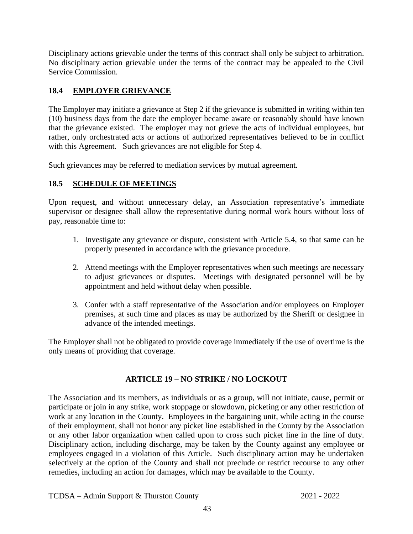Disciplinary actions grievable under the terms of this contract shall only be subject to arbitration. No disciplinary action grievable under the terms of the contract may be appealed to the Civil Service Commission.

#### <span id="page-47-0"></span>**18.4 EMPLOYER GRIEVANCE**

The Employer may initiate a grievance at Step 2 if the grievance is submitted in writing within ten (10) business days from the date the employer became aware or reasonably should have known that the grievance existed. The employer may not grieve the acts of individual employees, but rather, only orchestrated acts or actions of authorized representatives believed to be in conflict with this Agreement. Such grievances are not eligible for Step 4.

Such grievances may be referred to mediation services by mutual agreement.

#### <span id="page-47-1"></span>**18.5 SCHEDULE OF MEETINGS**

Upon request, and without unnecessary delay, an Association representative's immediate supervisor or designee shall allow the representative during normal work hours without loss of pay, reasonable time to:

- 1. Investigate any grievance or dispute, consistent with Article 5.4, so that same can be properly presented in accordance with the grievance procedure.
- 2. Attend meetings with the Employer representatives when such meetings are necessary to adjust grievances or disputes. Meetings with designated personnel will be by appointment and held without delay when possible.
- 3. Confer with a staff representative of the Association and/or employees on Employer premises, at such time and places as may be authorized by the Sheriff or designee in advance of the intended meetings.

The Employer shall not be obligated to provide coverage immediately if the use of overtime is the only means of providing that coverage.

#### **ARTICLE 19 – NO STRIKE / NO LOCKOUT**

<span id="page-47-2"></span>The Association and its members, as individuals or as a group, will not initiate, cause, permit or participate or join in any strike, work stoppage or slowdown, picketing or any other restriction of work at any location in the County. Employees in the bargaining unit, while acting in the course of their employment, shall not honor any picket line established in the County by the Association or any other labor organization when called upon to cross such picket line in the line of duty. Disciplinary action, including discharge, may be taken by the County against any employee or employees engaged in a violation of this Article. Such disciplinary action may be undertaken selectively at the option of the County and shall not preclude or restrict recourse to any other remedies, including an action for damages, which may be available to the County.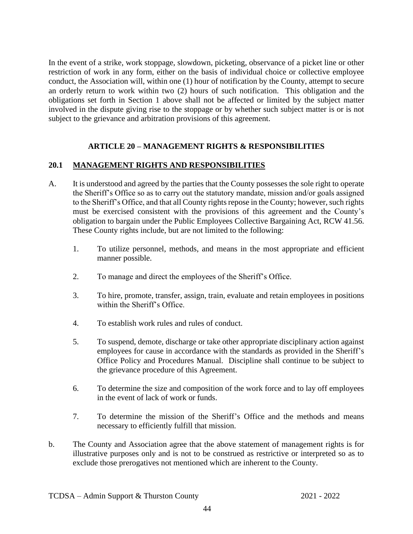In the event of a strike, work stoppage, slowdown, picketing, observance of a picket line or other restriction of work in any form, either on the basis of individual choice or collective employee conduct, the Association will, within one (1) hour of notification by the County, attempt to secure an orderly return to work within two (2) hours of such notification. This obligation and the obligations set forth in Section 1 above shall not be affected or limited by the subject matter involved in the dispute giving rise to the stoppage or by whether such subject matter is or is not subject to the grievance and arbitration provisions of this agreement.

#### **ARTICLE 20 – MANAGEMENT RIGHTS & RESPONSIBILITIES**

#### <span id="page-48-1"></span><span id="page-48-0"></span>**20.1 MANAGEMENT RIGHTS AND RESPONSIBILITIES**

- A. It is understood and agreed by the parties that the County possesses the sole right to operate the Sheriff's Office so as to carry out the statutory mandate, mission and/or goals assigned to the Sheriff's Office, and that all County rights repose in the County; however, such rights must be exercised consistent with the provisions of this agreement and the County's obligation to bargain under the Public Employees Collective Bargaining Act, RCW 41.56. These County rights include, but are not limited to the following:
	- 1. To utilize personnel, methods, and means in the most appropriate and efficient manner possible.
	- 2. To manage and direct the employees of the Sheriff's Office.
	- 3. To hire, promote, transfer, assign, train, evaluate and retain employees in positions within the Sheriff's Office.
	- 4. To establish work rules and rules of conduct.
	- 5. To suspend, demote, discharge or take other appropriate disciplinary action against employees for cause in accordance with the standards as provided in the Sheriff's Office Policy and Procedures Manual. Discipline shall continue to be subject to the grievance procedure of this Agreement.
	- 6. To determine the size and composition of the work force and to lay off employees in the event of lack of work or funds.
	- 7. To determine the mission of the Sheriff's Office and the methods and means necessary to efficiently fulfill that mission.
- b. The County and Association agree that the above statement of management rights is for illustrative purposes only and is not to be construed as restrictive or interpreted so as to exclude those prerogatives not mentioned which are inherent to the County.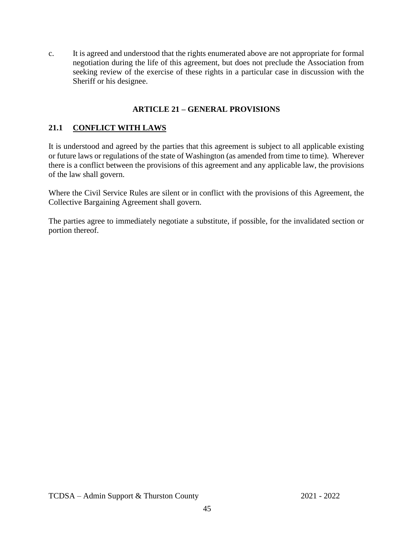c. It is agreed and understood that the rights enumerated above are not appropriate for formal negotiation during the life of this agreement, but does not preclude the Association from seeking review of the exercise of these rights in a particular case in discussion with the Sheriff or his designee.

#### **ARTICLE 21 – GENERAL PROVISIONS**

#### <span id="page-49-1"></span><span id="page-49-0"></span>**21.1 CONFLICT WITH LAWS**

It is understood and agreed by the parties that this agreement is subject to all applicable existing or future laws or regulations of the state of Washington (as amended from time to time). Wherever there is a conflict between the provisions of this agreement and any applicable law, the provisions of the law shall govern.

Where the Civil Service Rules are silent or in conflict with the provisions of this Agreement, the Collective Bargaining Agreement shall govern.

The parties agree to immediately negotiate a substitute, if possible, for the invalidated section or portion thereof.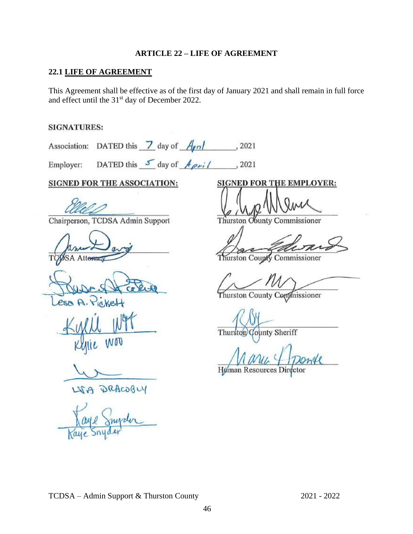#### **ARTICLE 22 – LIFE OF AGREEMENT**

#### <span id="page-50-0"></span>**22.1 LIFE OF AGREEMENT**

This Agreement shall be effective as of the first day of January 2021 and shall remain in full force and effect until the 31<sup>st</sup> day of December 2022.

#### **SIGNATURES:**

Association: DATED this  $\frac{7}{2}$  day of  $\frac{A_{\ell}a_{\ell}}{a_{\ell}}$ , 2021

Employer: DATED this  $\frac{s}{s}$  day of  $\frac{A_{\rho} i}{s}$ , 2021

#### **SIGNED FOR THE ASSOCIATION: SIGNED FOR THE EMPLOYER:**

Chairperson, TCDSA Admin Support Thurston Obunty Commissioner

**NOV** 

LIGA PRACOBLY

 $\mathcal{L}_1 \mathcal{N}_1 \mathcal{N}_2 \mathcal{N}_3 \mathcal{N}_4 \mathcal{N}_5 \mathcal{N}_6 \mathcal{N}_7 \mathcal{N}_8 \mathcal{N}_9$ 

 $\sqrt{2}$ 

urston County Commissioner

 $\sim$   $\sim$   $\sim$ 

Thurston County Commissioner

 $\frac{1}{2}$ 

Thurston County Sheriff

 $1$  N arriver + 122 mgc Human Resources Director

TCDSA – Admin Support & Thurston County 2021 - 2022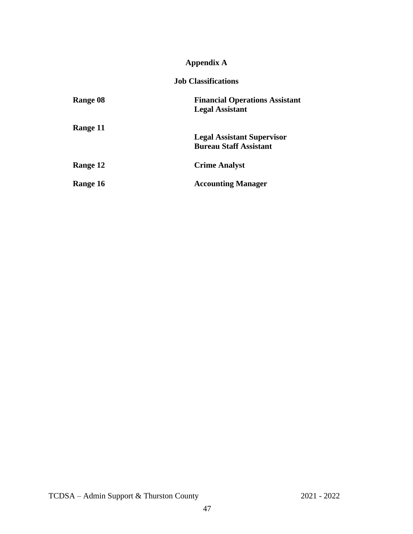#### **Appendix A**

**Job Classifications**

<span id="page-51-0"></span>

| Range 08        | <b>Financial Operations Assistant</b> |
|-----------------|---------------------------------------|
|                 | <b>Legal Assistant</b>                |
| Range 11        |                                       |
|                 | <b>Legal Assistant Supervisor</b>     |
|                 | <b>Bureau Staff Assistant</b>         |
| <b>Range 12</b> | <b>Crime Analyst</b>                  |
| Range 16        | <b>Accounting Manager</b>             |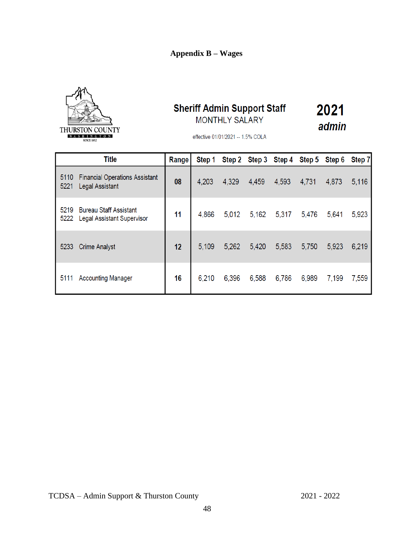#### **Appendix B – Wages**



### **Sheriff Admin Support Staff** MONTHLY SALARY

2021 admin

effective 01/01/2021 -- 1.5% COLA

| <b>Title</b> |                                                                    | Range | Step 1 |       |       |       |       | Step 2 Step 3 Step 4 Step 5 Step 6 | Step 7 |
|--------------|--------------------------------------------------------------------|-------|--------|-------|-------|-------|-------|------------------------------------|--------|
| 5110<br>5221 | <b>Financial Operations Assistant</b><br><b>Legal Assistant</b>    | 08    | 4,203  | 4,329 | 4,459 | 4,593 | 4,731 | 4,873                              | 5,116  |
| 5219<br>5222 | <b>Bureau Staff Assistant</b><br><b>Legal Assistant Supervisor</b> | 11    | 4,866  | 5,012 | 5,162 | 5,317 | 5,476 | 5,641                              | 5,923  |
| 5233         | <b>Crime Analyst</b>                                               | 12    | 5,109  | 5,262 | 5,420 | 5,583 | 5,750 | 5,923                              | 6,219  |
| 5111         | <b>Accounting Manager</b>                                          | 16    | 6,210  | 6,396 | 6,588 | 6,786 | 6,989 | 7,199                              | 7,559  |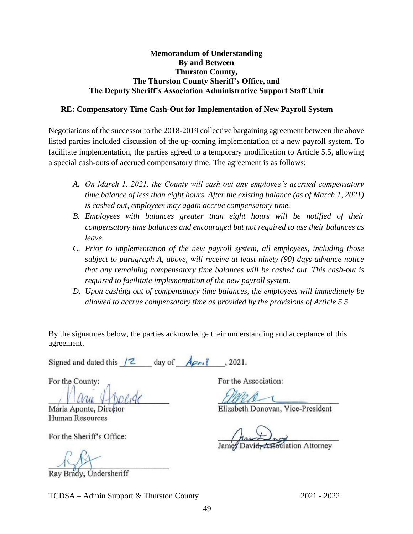#### **Memorandum of Understanding By and Between Thurston County, The Thurston County Sheriff's Office, and The Deputy Sheriff's Association Administrative Support Staff Unit**

#### **RE: Compensatory Time Cash-Out for Implementation of New Payroll System**

Negotiations of the successor to the 2018-2019 collective bargaining agreement between the above listed parties included discussion of the up-coming implementation of a new payroll system. To facilitate implementation, the parties agreed to a temporary modification to Article 5.5, allowing a special cash-outs of accrued compensatory time. The agreement is as follows:

- *A. On March 1, 2021, the County will cash out any employee's accrued compensatory time balance of less than eight hours. After the existing balance (as of March 1, 2021) is cashed out, employees may again accrue compensatory time.*
- *B. Employees with balances greater than eight hours will be notified of their compensatory time balances and encouraged but not required to use their balances as leave.*
- *C. Prior to implementation of the new payroll system, all employees, including those subject to paragraph A, above, will receive at least ninety (90) days advance notice that any remaining compensatory time balances will be cashed out. This cash-out is required to facilitate implementation of the new payroll system.*
- *D. Upon cashing out of compensatory time balances, the employees will immediately be allowed to accrue compensatory time as provided by the provisions of Article 5.5.*

By the signatures below, the parties acknowledge their understanding and acceptance of this agreement.

Signed and dated this  $\begin{bmatrix} 2 & \text{day of} \\ \end{bmatrix}$   $\begin{bmatrix} A_{\rho r}, \\ \end{bmatrix}$ , 2021.

 $LLLLL\_$ 

Human Resources

For the Sheriff's Office:

 $\sqrt{2}$ 

Ray Brady, Undersheriff

For the County: For the Association:

Maria Aponte, Director Elizabeth Donovan, Vice-President

James David, Association Attorney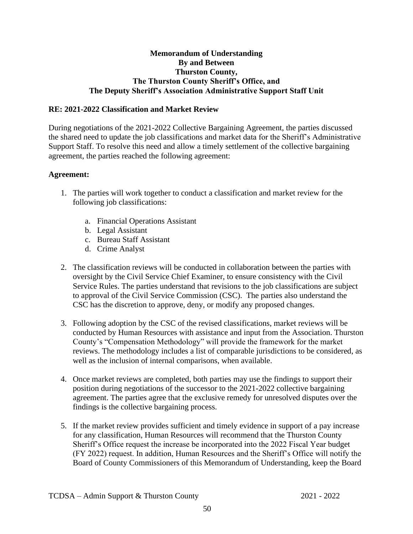#### **Memorandum of Understanding By and Between Thurston County, The Thurston County Sheriff's Office, and The Deputy Sheriff's Association Administrative Support Staff Unit**

#### **RE: 2021-2022 Classification and Market Review**

During negotiations of the 2021-2022 Collective Bargaining Agreement, the parties discussed the shared need to update the job classifications and market data for the Sheriff's Administrative Support Staff. To resolve this need and allow a timely settlement of the collective bargaining agreement, the parties reached the following agreement:

#### **Agreement:**

- 1. The parties will work together to conduct a classification and market review for the following job classifications:
	- a. Financial Operations Assistant
	- b. Legal Assistant
	- c. Bureau Staff Assistant
	- d. Crime Analyst
- 2. The classification reviews will be conducted in collaboration between the parties with oversight by the Civil Service Chief Examiner, to ensure consistency with the Civil Service Rules. The parties understand that revisions to the job classifications are subject to approval of the Civil Service Commission (CSC). The parties also understand the CSC has the discretion to approve, deny, or modify any proposed changes.
- 3. Following adoption by the CSC of the revised classifications, market reviews will be conducted by Human Resources with assistance and input from the Association. Thurston County's "Compensation Methodology" will provide the framework for the market reviews. The methodology includes a list of comparable jurisdictions to be considered, as well as the inclusion of internal comparisons, when available.
- 4. Once market reviews are completed, both parties may use the findings to support their position during negotiations of the successor to the 2021-2022 collective bargaining agreement. The parties agree that the exclusive remedy for unresolved disputes over the findings is the collective bargaining process.
- 5. If the market review provides sufficient and timely evidence in support of a pay increase for any classification, Human Resources will recommend that the Thurston County Sheriff's Office request the increase be incorporated into the 2022 Fiscal Year budget (FY 2022) request. In addition, Human Resources and the Sheriff's Office will notify the Board of County Commissioners of this Memorandum of Understanding, keep the Board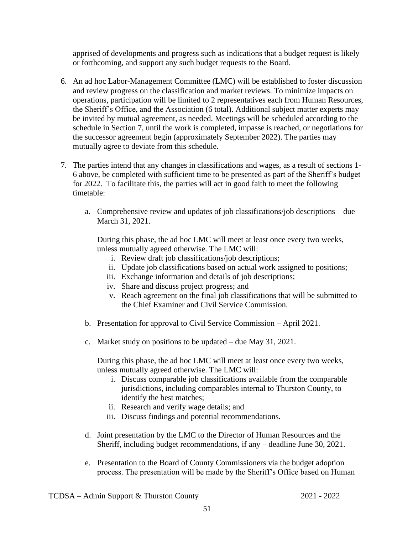apprised of developments and progress such as indications that a budget request is likely or forthcoming, and support any such budget requests to the Board.

- 6. An ad hoc Labor-Management Committee (LMC) will be established to foster discussion and review progress on the classification and market reviews. To minimize impacts on operations, participation will be limited to 2 representatives each from Human Resources, the Sheriff's Office, and the Association (6 total). Additional subject matter experts may be invited by mutual agreement, as needed. Meetings will be scheduled according to the schedule in Section 7, until the work is completed, impasse is reached, or negotiations for the successor agreement begin (approximately September 2022). The parties may mutually agree to deviate from this schedule.
- 7. The parties intend that any changes in classifications and wages, as a result of sections 1- 6 above, be completed with sufficient time to be presented as part of the Sheriff's budget for 2022. To facilitate this, the parties will act in good faith to meet the following timetable:
	- a. Comprehensive review and updates of job classifications/job descriptions due March 31, 2021.

During this phase, the ad hoc LMC will meet at least once every two weeks, unless mutually agreed otherwise. The LMC will:

- i. Review draft job classifications/job descriptions;
- ii. Update job classifications based on actual work assigned to positions;
- iii. Exchange information and details of job descriptions;
- iv. Share and discuss project progress; and
- v. Reach agreement on the final job classifications that will be submitted to the Chief Examiner and Civil Service Commission.
- b. Presentation for approval to Civil Service Commission April 2021.
- c. Market study on positions to be updated due May 31, 2021.

During this phase, the ad hoc LMC will meet at least once every two weeks, unless mutually agreed otherwise. The LMC will:

- i. Discuss comparable job classifications available from the comparable jurisdictions, including comparables internal to Thurston County, to identify the best matches;
- ii. Research and verify wage details; and
- iii. Discuss findings and potential recommendations.
- d. Joint presentation by the LMC to the Director of Human Resources and the Sheriff, including budget recommendations, if any – deadline June 30, 2021.
- e. Presentation to the Board of County Commissioners via the budget adoption process. The presentation will be made by the Sheriff's Office based on Human